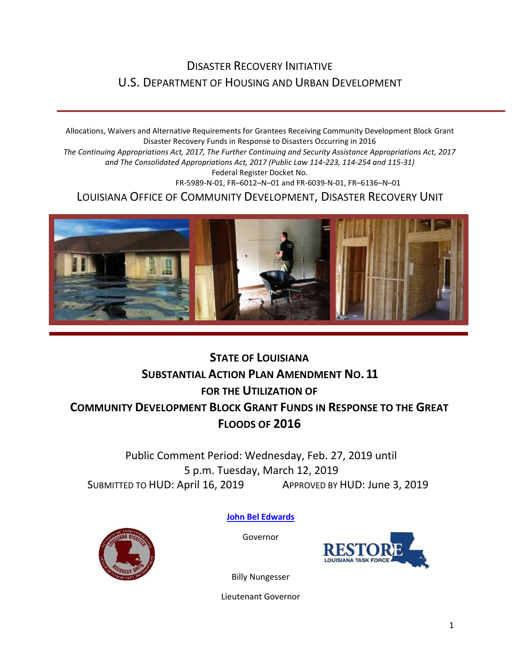# DISASTER RECOVERY INITIATIVE U.S. DEPARTMENT OF HOUSING AND URBAN DEVELOPMENT

Allocations, Waivers and Alternative Requirements for Grantees Receiving Community Development Block Grant Disaster Recovery Funds in Response to Disasters Occurring in 2016 *The Continuing Appropriations Act, 2017, The Further Continuing and Security Assistance Appropriations Act, 2017 and The Consolidated Appropriations Act, 2017 (Public Law 114-223, 114-254 and 115-31)* Federal Register Docket No. FR-5989-N-01, FR–6012–N–01 and FR-6039-N-01, FR–6136–N–01

LOUISIANA OFFICE OF COMMUNITY DEVELOPMENT, DISASTER RECOVERY UNIT



# **STATE OF LOUISIANA SUBSTANTIAL ACTION PLAN AMENDMENT NO.11 FOR THE UTILIZATION OF COMMUNITY DEVELOPMENT BLOCK GRANT FUNDS IN RESPONSE TO THE GREAT FLOODS OF 2016**

Public Comment Period: Wednesday, Feb. 27, 2019 until 5 p.m. Tuesday, March 12, 2019 SUBMITTED TO HUD: April 16, 2019 APPROVED BY HUD: June 3, 2019



**[John Bel Edwards](https://www.facebook.com/LouisianaGov/)**

Governor



Billy Nungesser

Lieutenant Governor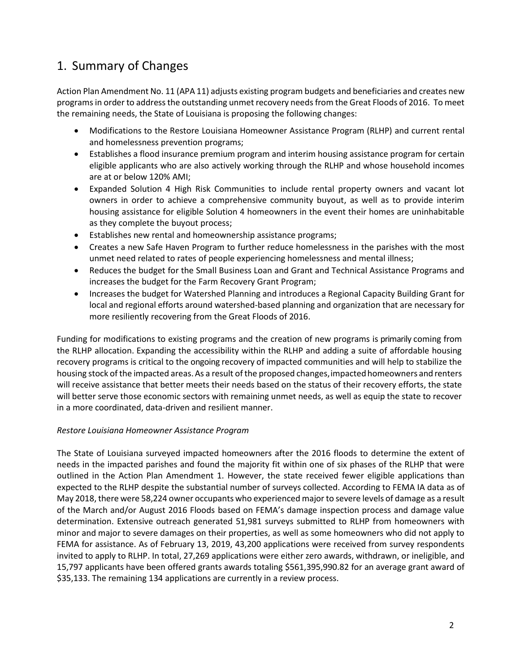# 1. Summary of Changes

Action Plan Amendment No. 11 (APA 11) adjusts existing program budgets and beneficiaries and creates new programs in order to address the outstanding unmet recovery needs from the Great Floods of 2016. To meet the remaining needs, the State of Louisiana is proposing the following changes:

- Modifications to the Restore Louisiana Homeowner Assistance Program (RLHP) and current rental and homelessness prevention programs;
- Establishes a flood insurance premium program and interim housing assistance program for certain eligible applicants who are also actively working through the RLHP and whose household incomes are at or below 120% AMI;
- Expanded Solution 4 High Risk Communities to include rental property owners and vacant lot owners in order to achieve a comprehensive community buyout, as well as to provide interim housing assistance for eligible Solution 4 homeowners in the event their homes are uninhabitable as they complete the buyout process;
- Establishes new rental and homeownership assistance programs;
- Creates a new Safe Haven Program to further reduce homelessness in the parishes with the most unmet need related to rates of people experiencing homelessness and mental illness;
- Reduces the budget for the Small Business Loan and Grant and Technical Assistance Programs and increases the budget for the Farm Recovery Grant Program;
- Increases the budget for Watershed Planning and introduces a Regional Capacity Building Grant for local and regional efforts around watershed-based planning and organization that are necessary for more resiliently recovering from the Great Floods of 2016.

Funding for modifications to existing programs and the creation of new programs is primarily coming from the RLHP allocation. Expanding the accessibility within the RLHP and adding a suite of affordable housing recovery programs is critical to the ongoing recovery of impacted communities and will help to stabilize the housing stock of the impacted areas. As a result of the proposed changes, impacted homeowners and renters will receive assistance that better meets their needs based on the status of their recovery efforts, the state will better serve those economic sectors with remaining unmet needs, as well as equip the state to recover in a more coordinated, data-driven and resilient manner.

#### *Restore Louisiana Homeowner Assistance Program*

The State of Louisiana surveyed impacted homeowners after the 2016 floods to determine the extent of needs in the impacted parishes and found the majority fit within one of six phases of the RLHP that were outlined in the Action Plan Amendment 1. However, the state received fewer eligible applications than expected to the RLHP despite the substantial number of surveys collected. According to FEMA IA data as of May 2018, there were 58,224 owner occupants who experienced major to severe levels of damage as a result of the March and/or August 2016 Floods based on FEMA's damage inspection process and damage value determination. Extensive outreach generated 51,981 surveys submitted to RLHP from homeowners with minor and major to severe damages on their properties, as well as some homeowners who did not apply to FEMA for assistance. As of February 13, 2019, 43,200 applications were received from survey respondents invited to apply to RLHP. In total, 27,269 applications were either zero awards, withdrawn, or ineligible, and 15,797 applicants have been offered grants awards totaling \$561,395,990.82 for an average grant award of \$35,133. The remaining 134 applications are currently in a review process.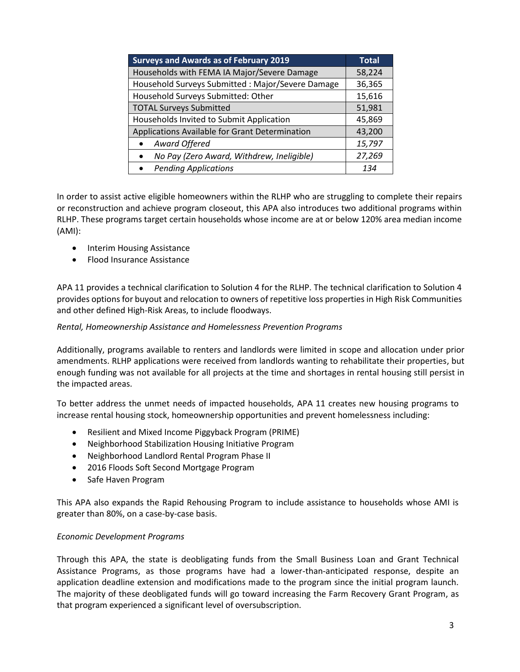| <b>Surveys and Awards as of February 2019</b>          | <b>Total</b> |
|--------------------------------------------------------|--------------|
| Households with FEMA IA Major/Severe Damage            | 58,224       |
| Household Surveys Submitted : Major/Severe Damage      | 36,365       |
| Household Surveys Submitted: Other                     | 15,616       |
| <b>TOTAL Surveys Submitted</b>                         | 51,981       |
| Households Invited to Submit Application               | 45,869       |
| Applications Available for Grant Determination         | 43,200       |
| Award Offered<br>$\bullet$                             | 15,797       |
| No Pay (Zero Award, Withdrew, Ineligible)<br>$\bullet$ | 27,269       |
| <b>Pending Applications</b><br>$\bullet$               | 134          |

In order to assist active eligible homeowners within the RLHP who are struggling to complete their repairs or reconstruction and achieve program closeout, this APA also introduces two additional programs within RLHP. These programs target certain households whose income are at or below 120% area median income (AMI):

- Interim Housing Assistance
- Flood Insurance Assistance

APA 11 provides a technical clarification to Solution 4 for the RLHP. The technical clarification to Solution 4 provides options for buyout and relocation to owners of repetitive loss properties in High Risk Communities and other defined High-Risk Areas, to include floodways.

#### *Rental, Homeownership Assistance and Homelessness Prevention Programs*

Additionally, programs available to renters and landlords were limited in scope and allocation under prior amendments. RLHP applications were received from landlords wanting to rehabilitate their properties, but enough funding was not available for all projects at the time and shortages in rental housing still persist in the impacted areas.

To better address the unmet needs of impacted households, APA 11 creates new housing programs to increase rental housing stock, homeownership opportunities and prevent homelessness including:

- Resilient and Mixed Income Piggyback Program (PRIME)
- Neighborhood Stabilization Housing Initiative Program
- Neighborhood Landlord Rental Program Phase II
- 2016 Floods Soft Second Mortgage Program
- Safe Haven Program

This APA also expands the Rapid Rehousing Program to include assistance to households whose AMI is greater than 80%, on a case-by-case basis.

#### *Economic Development Programs*

Through this APA, the state is deobligating funds from the Small Business Loan and Grant Technical Assistance Programs, as those programs have had a lower-than-anticipated response, despite an application deadline extension and modifications made to the program since the initial program launch. The majority of these deobligated funds will go toward increasing the Farm Recovery Grant Program, as that program experienced a significant level of oversubscription.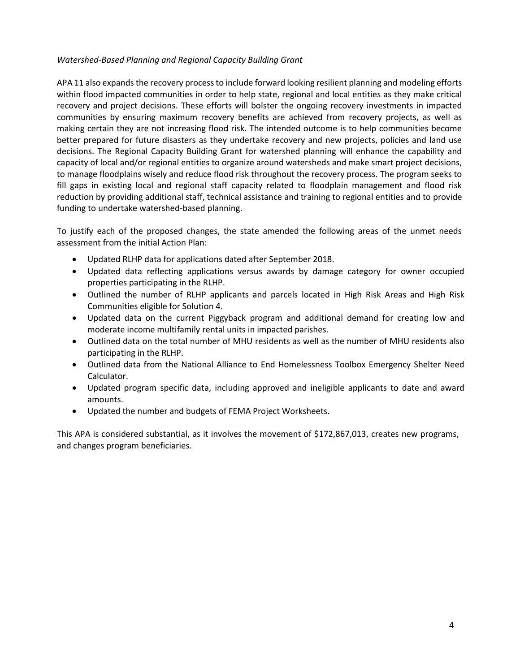#### *Watershed-Based Planning and Regional Capacity Building Grant*

APA 11 also expands the recovery process to include forward looking resilient planning and modeling efforts within flood impacted communities in order to help state, regional and local entities as they make critical recovery and project decisions. These efforts will bolster the ongoing recovery investments in impacted communities by ensuring maximum recovery benefits are achieved from recovery projects, as well as making certain they are not increasing flood risk. The intended outcome is to help communities become better prepared for future disasters as they undertake recovery and new projects, policies and land use decisions. The Regional Capacity Building Grant for watershed planning will enhance the capability and capacity of local and/or regional entities to organize around watersheds and make smart project decisions, to manage floodplains wisely and reduce flood risk throughout the recovery process. The program seeks to fill gaps in existing local and regional staff capacity related to floodplain management and flood risk reduction by providing additional staff, technical assistance and training to regional entities and to provide funding to undertake watershed-based planning.

To justify each of the proposed changes, the state amended the following areas of the unmet needs assessment from the initial Action Plan:

- Updated RLHP data for applications dated after September 2018.
- Updated data reflecting applications versus awards by damage category for owner occupied properties participating in the RLHP.
- Outlined the number of RLHP applicants and parcels located in High Risk Areas and High Risk Communities eligible for Solution 4.
- Updated data on the current Piggyback program and additional demand for creating low and moderate income multifamily rental units in impacted parishes.
- Outlined data on the total number of MHU residents as well as the number of MHU residents also participating in the RLHP.
- Outlined data from the National Alliance to End Homelessness Toolbox Emergency Shelter Need Calculator.
- Updated program specific data, including approved and ineligible applicants to date and award amounts.
- Updated the number and budgets of FEMA Project Worksheets.

This APA is considered substantial, as it involves the movement of \$172,867,013, creates new programs, and changes program beneficiaries.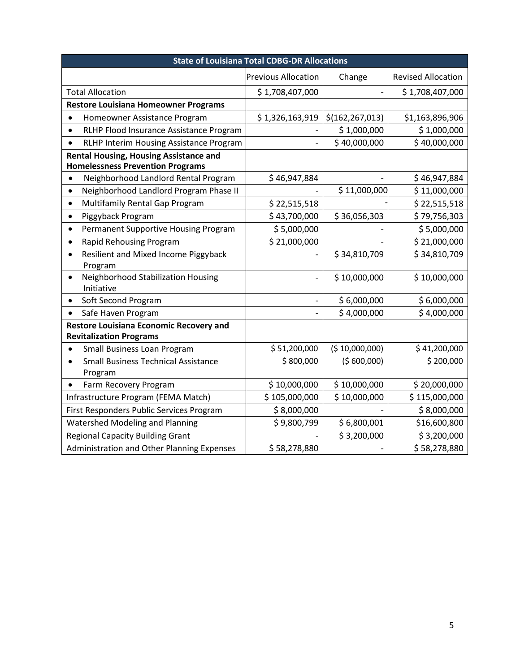| <b>State of Louisiana Total CDBG-DR Allocations</b>                                      |                            |                   |                           |  |
|------------------------------------------------------------------------------------------|----------------------------|-------------------|---------------------------|--|
|                                                                                          | <b>Previous Allocation</b> | Change            | <b>Revised Allocation</b> |  |
| <b>Total Allocation</b>                                                                  | \$1,708,407,000            |                   | \$1,708,407,000           |  |
| <b>Restore Louisiana Homeowner Programs</b>                                              |                            |                   |                           |  |
| Homeowner Assistance Program                                                             | \$1,326,163,919            | \$(162, 267, 013) | \$1,163,896,906           |  |
| RLHP Flood Insurance Assistance Program<br>$\bullet$                                     |                            | \$1,000,000       | \$1,000,000               |  |
| RLHP Interim Housing Assistance Program<br>$\bullet$                                     |                            | \$40,000,000      | \$40,000,000              |  |
| <b>Rental Housing, Housing Assistance and</b><br><b>Homelessness Prevention Programs</b> |                            |                   |                           |  |
| Neighborhood Landlord Rental Program                                                     | \$46,947,884               |                   | \$46,947,884              |  |
| Neighborhood Landlord Program Phase II<br>$\bullet$                                      |                            | \$11,000,000      | \$11,000,000              |  |
| Multifamily Rental Gap Program                                                           | \$22,515,518               |                   | \$22,515,518              |  |
| Piggyback Program                                                                        | \$43,700,000               | \$36,056,303      | \$79,756,303              |  |
| Permanent Supportive Housing Program<br>$\bullet$                                        | \$5,000,000                |                   | \$5,000,000               |  |
| <b>Rapid Rehousing Program</b><br>$\bullet$                                              | \$21,000,000               |                   | \$21,000,000              |  |
| Resilient and Mixed Income Piggyback<br>Program                                          |                            | \$34,810,709      | \$34,810,709              |  |
| Neighborhood Stabilization Housing<br>Initiative                                         |                            | \$10,000,000      | \$10,000,000              |  |
| Soft Second Program                                                                      |                            | \$6,000,000       | \$6,000,000               |  |
| Safe Haven Program                                                                       |                            | \$4,000,000       | \$4,000,000               |  |
| <b>Restore Louisiana Economic Recovery and</b><br><b>Revitalization Programs</b>         |                            |                   |                           |  |
| <b>Small Business Loan Program</b>                                                       | \$51,200,000               | (\$10,000,000)    | \$41,200,000              |  |
| <b>Small Business Technical Assistance</b><br>$\bullet$<br>Program                       | \$800,000                  | (5600,000)        | \$200,000                 |  |
| Farm Recovery Program                                                                    | \$10,000,000               | \$10,000,000      | \$20,000,000              |  |
| Infrastructure Program (FEMA Match)                                                      | \$105,000,000              | \$10,000,000      | \$115,000,000             |  |
| First Responders Public Services Program                                                 | \$8,000,000                |                   | \$8,000,000               |  |
| Watershed Modeling and Planning                                                          | \$9,800,799                | \$6,800,001       | \$16,600,800              |  |
| <b>Regional Capacity Building Grant</b>                                                  |                            | \$3,200,000       | \$3,200,000               |  |
| Administration and Other Planning Expenses                                               | \$58,278,880               |                   | \$58,278,880              |  |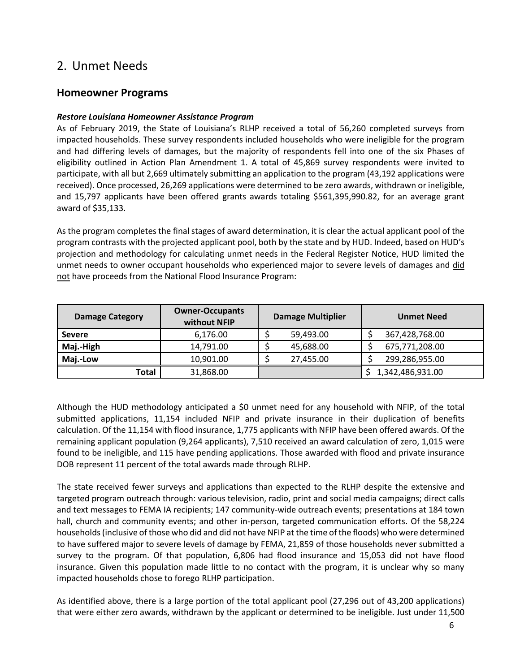## 2. Unmet Needs

## **Homeowner Programs**

#### *Restore Louisiana Homeowner Assistance Program*

As of February 2019, the State of Louisiana's RLHP received a total of 56,260 completed surveys from impacted households. These survey respondents included households who were ineligible for the program and had differing levels of damages, but the majority of respondents fell into one of the six Phases of eligibility outlined in Action Plan Amendment 1. A total of 45,869 survey respondents were invited to participate, with all but 2,669 ultimately submitting an application to the program (43,192 applications were received). Once processed, 26,269 applications were determined to be zero awards, withdrawn or ineligible, and 15,797 applicants have been offered grants awards totaling \$561,395,990.82, for an average grant award of \$35,133.

As the program completes the final stages of award determination, it is clear the actual applicant pool of the program contrasts with the projected applicant pool, both by the state and by HUD. Indeed, based on HUD's projection and methodology for calculating unmet needs in the Federal Register Notice, HUD limited the unmet needs to owner occupant households who experienced major to severe levels of damages and did not have proceeds from the National Flood Insurance Program:

| <b>Damage Category</b> | <b>Owner-Occupants</b><br>without NFIP | <b>Damage Multiplier</b> | <b>Unmet Need</b> |
|------------------------|----------------------------------------|--------------------------|-------------------|
| <b>Severe</b>          | 6,176.00                               | 59,493.00                | 367,428,768.00    |
| Maj.-High              | 14,791.00                              | 45,688.00                | 675,771,208.00    |
| Maj.-Low               | 10,901.00                              | 27,455.00                | 299,286,955.00    |
| Total                  | 31,868.00                              |                          | 1,342,486,931.00  |

Although the HUD methodology anticipated a \$0 unmet need for any household with NFIP, of the total submitted applications, 11,154 included NFIP and private insurance in their duplication of benefits calculation. Of the 11,154 with flood insurance, 1,775 applicants with NFIP have been offered awards. Of the remaining applicant population (9,264 applicants), 7,510 received an award calculation of zero, 1,015 were found to be ineligible, and 115 have pending applications. Those awarded with flood and private insurance DOB represent 11 percent of the total awards made through RLHP.

The state received fewer surveys and applications than expected to the RLHP despite the extensive and targeted program outreach through: various television, radio, print and social media campaigns; direct calls and text messages to FEMA IA recipients; 147 community-wide outreach events; presentations at 184 town hall, church and community events; and other in-person, targeted communication efforts. Of the 58,224 households (inclusive of those who did and did not have NFIP at the time of the floods) who were determined to have suffered major to severe levels of damage by FEMA, 21,859 of those households never submitted a survey to the program. Of that population, 6,806 had flood insurance and 15,053 did not have flood insurance. Given this population made little to no contact with the program, it is unclear why so many impacted households chose to forego RLHP participation.

As identified above, there is a large portion of the total applicant pool (27,296 out of 43,200 applications) that were either zero awards, withdrawn by the applicant or determined to be ineligible. Just under 11,500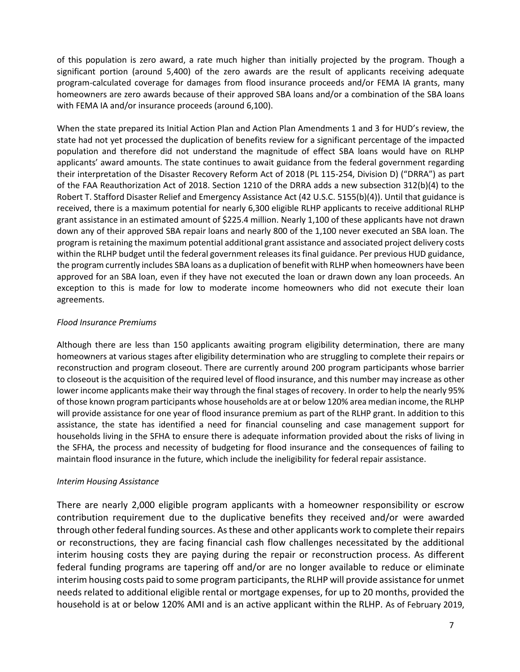of this population is zero award, a rate much higher than initially projected by the program. Though a significant portion (around 5,400) of the zero awards are the result of applicants receiving adequate program-calculated coverage for damages from flood insurance proceeds and/or FEMA IA grants, many homeowners are zero awards because of their approved SBA loans and/or a combination of the SBA loans with FEMA IA and/or insurance proceeds (around 6,100).

When the state prepared its Initial Action Plan and Action Plan Amendments 1 and 3 for HUD's review, the state had not yet processed the duplication of benefits review for a significant percentage of the impacted population and therefore did not understand the magnitude of effect SBA loans would have on RLHP applicants' award amounts. The state continues to await guidance from the federal government regarding their interpretation of the Disaster Recovery Reform Act of 2018 (PL 115-254, Division D) ("DRRA") as part of the FAA Reauthorization Act of 2018. Section 1210 of the DRRA adds a new subsection 312(b)(4) to the Robert T. Stafford Disaster Relief and Emergency Assistance Act (42 U.S.C. 5155(b)(4)). Until that guidance is received, there is a maximum potential for nearly 6,300 eligible RLHP applicants to receive additional RLHP grant assistance in an estimated amount of \$225.4 million. Nearly 1,100 of these applicants have not drawn down any of their approved SBA repair loans and nearly 800 of the 1,100 never executed an SBA loan. The program is retaining the maximum potential additional grant assistance and associated project delivery costs within the RLHP budget until the federal government releases its final guidance. Per previous HUD guidance, the program currently includes SBA loans as a duplication of benefit with RLHP when homeowners have been approved for an SBA loan, even if they have not executed the loan or drawn down any loan proceeds. An exception to this is made for low to moderate income homeowners who did not execute their loan agreements.

#### *Flood Insurance Premiums*

Although there are less than 150 applicants awaiting program eligibility determination, there are many homeowners at various stages after eligibility determination who are struggling to complete their repairs or reconstruction and program closeout. There are currently around 200 program participants whose barrier to closeout is the acquisition of the required level of flood insurance, and this number may increase as other lower income applicants make their way through the final stages of recovery. In order to help the nearly 95% of those known program participants whose households are at or below 120% area median income, the RLHP will provide assistance for one year of flood insurance premium as part of the RLHP grant. In addition to this assistance, the state has identified a need for financial counseling and case management support for households living in the SFHA to ensure there is adequate information provided about the risks of living in the SFHA, the process and necessity of budgeting for flood insurance and the consequences of failing to maintain flood insurance in the future, which include the ineligibility for federal repair assistance.

#### *Interim Housing Assistance*

There are nearly 2,000 eligible program applicants with a homeowner responsibility or escrow contribution requirement due to the duplicative benefits they received and/or were awarded through other federal funding sources. As these and other applicants work to complete their repairs or reconstructions, they are facing financial cash flow challenges necessitated by the additional interim housing costs they are paying during the repair or reconstruction process. As different federal funding programs are tapering off and/or are no longer available to reduce or eliminate interim housing costs paid to some program participants, the RLHP will provide assistance for unmet needs related to additional eligible rental or mortgage expenses, for up to 20 months, provided the household is at or below 120% AMI and is an active applicant within the RLHP. As of February 2019,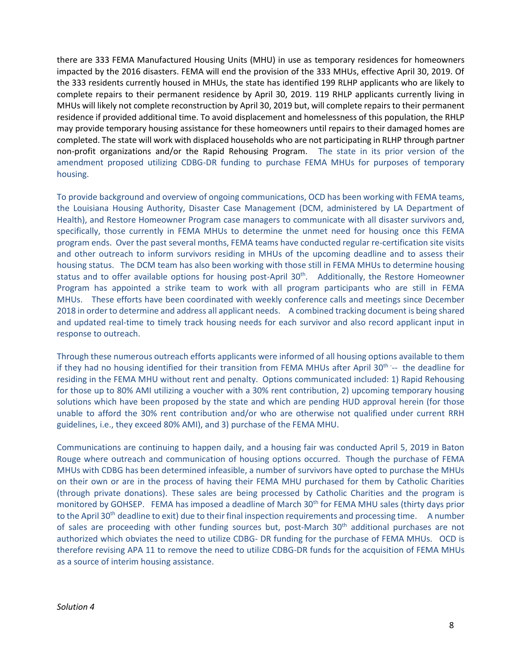there are 333 FEMA Manufactured Housing Units (MHU) in use as temporary residences for homeowners impacted by the 2016 disasters. FEMA will end the provision of the 333 MHUs, effective April 30, 2019. Of the 333 residents currently housed in MHUs, the state has identified 199 RLHP applicants who are likely to complete repairs to their permanent residence by April 30, 2019. 119 RHLP applicants currently living in MHUs will likely not complete reconstruction by April 30, 2019 but, will complete repairs to their permanent residence if provided additional time. To avoid displacement and homelessness of this population, the RHLP may provide temporary housing assistance for these homeowners until repairs to their damaged homes are completed. The state will work with displaced households who are not participating in RLHP through partner non-profit organizations and/or the Rapid Rehousing Program. The state in its prior version of the amendment proposed utilizing CDBG-DR funding to purchase FEMA MHUs for purposes of temporary housing.

To provide background and overview of ongoing communications, OCD has been working with FEMA teams, the Louisiana Housing Authority, Disaster Case Management (DCM, administered by LA Department of Health), and Restore Homeowner Program case managers to communicate with all disaster survivors and, specifically, those currently in FEMA MHUs to determine the unmet need for housing once this FEMA program ends. Over the past several months, FEMA teams have conducted regular re-certification site visits and other outreach to inform survivors residing in MHUs of the upcoming deadline and to assess their housing status. The DCM team has also been working with those still in FEMA MHUs to determine housing status and to offer available options for housing post-April 30<sup>th</sup>. Additionally, the Restore Homeowner Program has appointed a strike team to work with all program participants who are still in FEMA MHUs. These efforts have been coordinated with weekly conference calls and meetings since December 2018 in order to determine and address all applicant needs. A combined tracking document is being shared and updated real-time to timely track housing needs for each survivor and also record applicant input in response to outreach.

Through these numerous outreach efforts applicants were informed of all housing options available to them if they had no housing identified for their transition from FEMA MHUs after April 30<sup>th-1</sup>- the deadline for residing in the FEMA MHU without rent and penalty. Options communicated included: 1) Rapid Rehousing for those up to 80% AMI utilizing a voucher with a 30% rent contribution, 2) upcoming temporary housing solutions which have been proposed by the state and which are pending HUD approval herein (for those unable to afford the 30% rent contribution and/or who are otherwise not qualified under current RRH guidelines, i.e., they exceed 80% AMI), and 3) purchase of the FEMA MHU.

Communications are continuing to happen daily, and a housing fair was conducted April 5, 2019 in Baton Rouge where outreach and communication of housing options occurred. Though the purchase of FEMA MHUs with CDBG has been determined infeasible, a number of survivors have opted to purchase the MHUs on their own or are in the process of having their FEMA MHU purchased for them by Catholic Charities (through private donations). These sales are being processed by Catholic Charities and the program is monitored by GOHSEP. FEMA has imposed a deadline of March 30<sup>th</sup> for FEMA MHU sales (thirty days prior to the April 30<sup>th</sup> deadline to exit) due to their final inspection requirements and processing time. A number of sales are proceeding with other funding sources but, post-March 30<sup>th</sup> additional purchases are not authorized which obviates the need to utilize CDBG- DR funding for the purchase of FEMA MHUs. OCD is therefore revising APA 11 to remove the need to utilize CDBG-DR funds for the acquisition of FEMA MHUs as a source of interim housing assistance.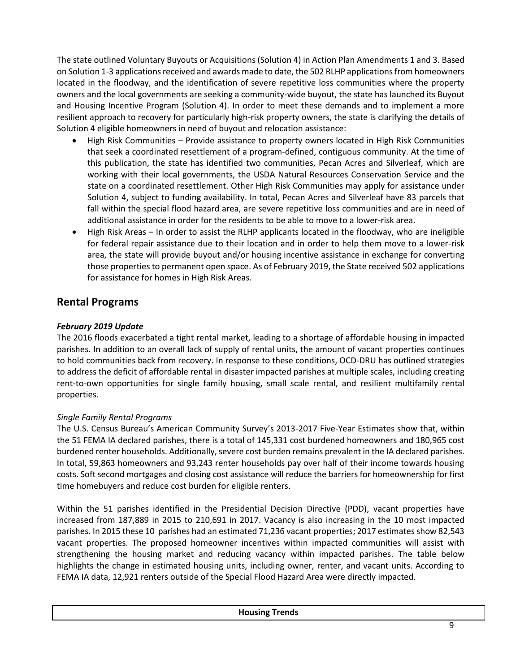The state outlined Voluntary Buyouts or Acquisitions (Solution 4) in Action Plan Amendments 1 and 3. Based on Solution 1-3 applications received and awards made to date, the 502 RLHP applications from homeowners located in the floodway, and the identification of severe repetitive loss communities where the property owners and the local governments are seeking a community-wide buyout, the state has launched its Buyout and Housing Incentive Program (Solution 4). In order to meet these demands and to implement a more resilient approach to recovery for particularly high-risk property owners, the state is clarifying the details of Solution 4 eligible homeowners in need of buyout and relocation assistance:

- High Risk Communities Provide assistance to property owners located in High Risk Communities that seek a coordinated resettlement of a program-defined, contiguous community. At the time of this publication, the state has identified two communities, Pecan Acres and Silverleaf, which are working with their local governments, the USDA Natural Resources Conservation Service and the state on a coordinated resettlement. Other High Risk Communities may apply for assistance under Solution 4, subject to funding availability. In total, Pecan Acres and Silverleaf have 83 parcels that fall within the special flood hazard area, are severe repetitive loss communities and are in need of additional assistance in order for the residents to be able to move to a lower-risk area.
- High Risk Areas In order to assist the RLHP applicants located in the floodway, who are ineligible for federal repair assistance due to their location and in order to help them move to a lower-risk area, the state will provide buyout and/or housing incentive assistance in exchange for converting those properties to permanent open space. As of February 2019, the State received 502 applications for assistance for homes in High Risk Areas.

## **Rental Programs**

### *February 2019 Update*

The 2016 floods exacerbated a tight rental market, leading to a shortage of affordable housing in impacted parishes. In addition to an overall lack of supply of rental units, the amount of vacant properties continues to hold communities back from recovery. In response to these conditions, OCD-DRU has outlined strategies to address the deficit of affordable rental in disaster impacted parishes at multiple scales, including creating rent-to-own opportunities for single family housing, small scale rental, and resilient multifamily rental properties.

### *Single Family Rental Programs*

The U.S. Census Bureau's American Community Survey's 2013-2017 Five-Year Estimates show that, within the 51 FEMA IA declared parishes, there is a total of 145,331 cost burdened homeowners and 180,965 cost burdened renter households. Additionally, severe cost burden remains prevalent in the IA declared parishes. In total, 59,863 homeowners and 93,243 renter households pay over half of their income towards housing costs. Soft second mortgages and closing cost assistance will reduce the barriers for homeownership for first time homebuyers and reduce cost burden for eligible renters.

Within the 51 parishes identified in the Presidential Decision Directive (PDD), vacant properties have increased from 187,889 in 2015 to 210,691 in 2017. Vacancy is also increasing in the 10 most impacted parishes. In 2015 these 10 parishes had an estimated 71,236 vacant properties; 2017 estimates show 82,543 vacant properties. The proposed homeowner incentives within impacted communities will assist with strengthening the housing market and reducing vacancy within impacted parishes. The table below highlights the change in estimated housing units, including owner, renter, and vacant units. According to FEMA IA data, 12,921 renters outside of the Special Flood Hazard Area were directly impacted.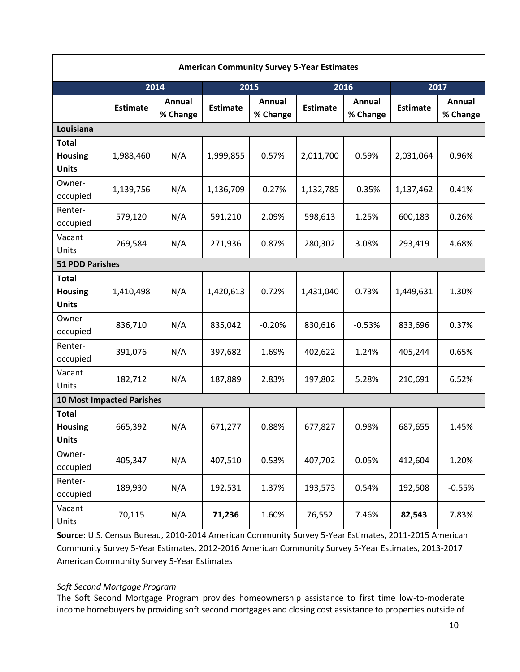| <b>American Community Survey 5-Year Estimates</b>                                                                                                                                                                                                        |                 |                           |                 |                           |                 |                    |                 |                    |
|----------------------------------------------------------------------------------------------------------------------------------------------------------------------------------------------------------------------------------------------------------|-----------------|---------------------------|-----------------|---------------------------|-----------------|--------------------|-----------------|--------------------|
|                                                                                                                                                                                                                                                          |                 | 2014                      |                 | 2015                      | 2016            |                    |                 | 2017               |
|                                                                                                                                                                                                                                                          | <b>Estimate</b> | <b>Annual</b><br>% Change | <b>Estimate</b> | <b>Annual</b><br>% Change | <b>Estimate</b> | Annual<br>% Change | <b>Estimate</b> | Annual<br>% Change |
| Louisiana                                                                                                                                                                                                                                                |                 |                           |                 |                           |                 |                    |                 |                    |
| <b>Total</b><br><b>Housing</b><br><b>Units</b>                                                                                                                                                                                                           | 1,988,460       | N/A                       | 1,999,855       | 0.57%                     | 2,011,700       | 0.59%              | 2,031,064       | 0.96%              |
| Owner-<br>occupied                                                                                                                                                                                                                                       | 1,139,756       | N/A                       | 1,136,709       | $-0.27%$                  | 1,132,785       | $-0.35%$           | 1,137,462       | 0.41%              |
| Renter-<br>occupied                                                                                                                                                                                                                                      | 579,120         | N/A                       | 591,210         | 2.09%                     | 598,613         | 1.25%              | 600,183         | 0.26%              |
| Vacant<br>Units                                                                                                                                                                                                                                          | 269,584         | N/A                       | 271,936         | 0.87%                     | 280,302         | 3.08%              | 293,419         | 4.68%              |
| <b>51 PDD Parishes</b>                                                                                                                                                                                                                                   |                 |                           |                 |                           |                 |                    |                 |                    |
| <b>Total</b><br><b>Housing</b><br><b>Units</b>                                                                                                                                                                                                           | 1,410,498       | N/A                       | 1,420,613       | 0.72%                     | 1,431,040       | 0.73%              | 1,449,631       | 1.30%              |
| Owner-<br>occupied                                                                                                                                                                                                                                       | 836,710         | N/A                       | 835,042         | $-0.20%$                  | 830,616         | $-0.53%$           | 833,696         | 0.37%              |
| Renter-<br>occupied                                                                                                                                                                                                                                      | 391,076         | N/A                       | 397,682         | 1.69%                     | 402,622         | 1.24%              | 405,244         | 0.65%              |
| Vacant<br>Units                                                                                                                                                                                                                                          | 182,712         | N/A                       | 187,889         | 2.83%                     | 197,802         | 5.28%              | 210,691         | 6.52%              |
| <b>10 Most Impacted Parishes</b>                                                                                                                                                                                                                         |                 |                           |                 |                           |                 |                    |                 |                    |
| <b>Total</b><br><b>Housing</b><br><b>Units</b>                                                                                                                                                                                                           | 665,392         | N/A                       | 671,277         | 0.88%                     | 677,827         | 0.98%              | 687,655         | 1.45%              |
| Owner-<br>occupied                                                                                                                                                                                                                                       | 405,347         | N/A                       | 407,510         | 0.53%                     | 407,702         | 0.05%              | 412,604         | 1.20%              |
| Renter-<br>occupied                                                                                                                                                                                                                                      | 189,930         | N/A                       | 192,531         | 1.37%                     | 193,573         | 0.54%              | 192,508         | $-0.55%$           |
| Vacant<br>Units                                                                                                                                                                                                                                          | 70,115          | N/A                       | 71,236          | 1.60%                     | 76,552          | 7.46%              | 82,543          | 7.83%              |
| Source: U.S. Census Bureau, 2010-2014 American Community Survey 5-Year Estimates, 2011-2015 American<br>Community Survey 5-Year Estimates, 2012-2016 American Community Survey 5-Year Estimates, 2013-2017<br>American Community Survey 5-Year Estimates |                 |                           |                 |                           |                 |                    |                 |                    |

## *Soft Second Mortgage Program*

The Soft Second Mortgage Program provides homeownership assistance to first time low-to-moderate income homebuyers by providing soft second mortgages and closing cost assistance to properties outside of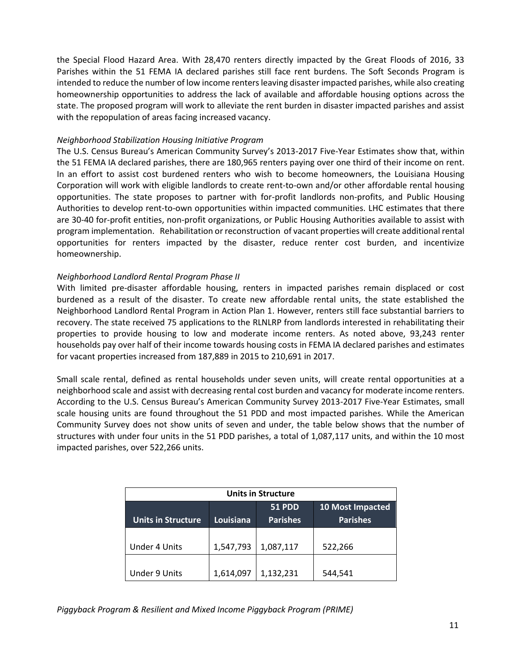the Special Flood Hazard Area. With 28,470 renters directly impacted by the Great Floods of 2016, 33 Parishes within the 51 FEMA IA declared parishes still face rent burdens. The Soft Seconds Program is intended to reduce the number of low income renters leaving disaster impacted parishes, while also creating homeownership opportunities to address the lack of available and affordable housing options across the state. The proposed program will work to alleviate the rent burden in disaster impacted parishes and assist with the repopulation of areas facing increased vacancy.

#### *Neighborhood Stabilization Housing Initiative Program*

The U.S. Census Bureau's American Community Survey's 2013-2017 Five-Year Estimates show that, within the 51 FEMA IA declared parishes, there are 180,965 renters paying over one third of their income on rent. In an effort to assist cost burdened renters who wish to become homeowners, the Louisiana Housing Corporation will work with eligible landlords to create rent-to-own and/or other affordable rental housing opportunities. The state proposes to partner with for-profit landlords non-profits, and Public Housing Authorities to develop rent-to-own opportunities within impacted communities. LHC estimates that there are 30-40 for-profit entities, non-profit organizations, or Public Housing Authorities available to assist with program implementation. Rehabilitation or reconstruction of vacant properties will create additional rental opportunities for renters impacted by the disaster, reduce renter cost burden, and incentivize homeownership.

#### *Neighborhood Landlord Rental Program Phase II*

With limited pre-disaster affordable housing, renters in impacted parishes remain displaced or cost burdened as a result of the disaster. To create new affordable rental units, the state established the Neighborhood Landlord Rental Program in Action Plan 1. However, renters still face substantial barriers to recovery. The state received 75 applications to the RLNLRP from landlords interested in rehabilitating their properties to provide housing to low and moderate income renters. As noted above, 93,243 renter households pay over half of their income towards housing costs in FEMA IA declared parishes and estimates for vacant properties increased from 187,889 in 2015 to 210,691 in 2017.

Small scale rental, defined as rental households under seven units, will create rental opportunities at a neighborhood scale and assist with decreasing rental cost burden and vacancy for moderate income renters. According to the U.S. Census Bureau's American Community Survey 2013-2017 Five-Year Estimates, small scale housing units are found throughout the 51 PDD and most impacted parishes. While the American Community Survey does not show units of seven and under, the table below shows that the number of structures with under four units in the 51 PDD parishes, a total of 1,087,117 units, and within the 10 most impacted parishes, over 522,266 units.

| <b>Units in Structure</b> |           |                                  |                                     |
|---------------------------|-----------|----------------------------------|-------------------------------------|
| <b>Units in Structure</b> | Louisiana | <b>51 PDD</b><br><b>Parishes</b> | 10 Most Impacted<br><b>Parishes</b> |
|                           |           |                                  |                                     |
| <b>Under 4 Units</b>      | 1,547,793 | 1,087,117                        | 522,266                             |
| <b>Under 9 Units</b>      | 1,614,097 | 1,132,231                        | 544.541                             |

*Piggyback Program & Resilient and Mixed Income Piggyback Program (PRIME)*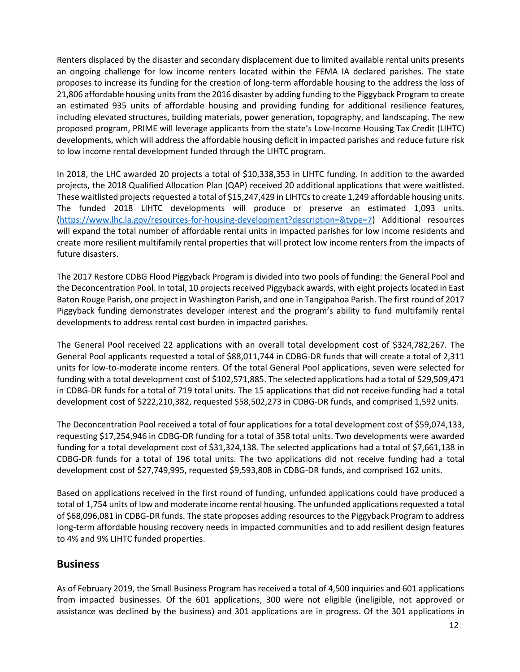Renters displaced by the disaster and secondary displacement due to limited available rental units presents an ongoing challenge for low income renters located within the FEMA IA declared parishes. The state proposes to increase its funding for the creation of long-term affordable housing to the address the loss of 21,806 affordable housing units from the 2016 disaster by adding funding to the Piggyback Program to create an estimated 935 units of affordable housing and providing funding for additional resilience features, including elevated structures, building materials, power generation, topography, and landscaping. The new proposed program, PRIME will leverage applicants from the state's Low-Income Housing Tax Credit (LIHTC) developments, which will address the affordable housing deficit in impacted parishes and reduce future risk to low income rental development funded through the LIHTC program.

In 2018, the LHC awarded 20 projects a total of \$10,338,353 in LIHTC funding. In addition to the awarded projects, the 2018 Qualified Allocation Plan (QAP) received 20 additional applications that were waitlisted. These waitlisted projects requested a total of \$15,247,429 in LIHTCs to create 1,249 affordable housing units. The funded 2018 LIHTC developments will produce or preserve an estimated 1,093 units. [\(https://www.lhc.la.gov/resources-for-housing-development?description=&type=7\)](https://www.lhc.la.gov/resources-for-housing-development?description=&type=7) Additional resources will expand the total number of affordable rental units in impacted parishes for low income residents and create more resilient multifamily rental properties that will protect low income renters from the impacts of future disasters.

The 2017 Restore CDBG Flood Piggyback Program is divided into two pools of funding: the General Pool and the Deconcentration Pool. In total, 10 projects received Piggyback awards, with eight projects located in East Baton Rouge Parish, one project in Washington Parish, and one in Tangipahoa Parish. The first round of 2017 Piggyback funding demonstrates developer interest and the program's ability to fund multifamily rental developments to address rental cost burden in impacted parishes.

The General Pool received 22 applications with an overall total development cost of \$324,782,267. The General Pool applicants requested a total of \$88,011,744 in CDBG-DR funds that will create a total of 2,311 units for low-to-moderate income renters. Of the total General Pool applications, seven were selected for funding with a total development cost of \$102,571,885. The selected applications had a total of \$29,509,471 in CDBG-DR funds for a total of 719 total units. The 15 applications that did not receive funding had a total development cost of \$222,210,382, requested \$58,502,273 in CDBG-DR funds, and comprised 1,592 units.

The Deconcentration Pool received a total of four applications for a total development cost of \$59,074,133, requesting \$17,254,946 in CDBG-DR funding for a total of 358 total units. Two developments were awarded funding for a total development cost of \$31,324,138. The selected applications had a total of \$7,661,138 in CDBG-DR funds for a total of 196 total units. The two applications did not receive funding had a total development cost of \$27,749,995, requested \$9,593,808 in CDBG-DR funds, and comprised 162 units.

Based on applications received in the first round of funding, unfunded applications could have produced a total of 1,754 units of low and moderate income rental housing. The unfunded applications requested a total of \$68,096,081 in CDBG-DR funds. The state proposes adding resources to the Piggyback Program to address long-term affordable housing recovery needs in impacted communities and to add resilient design features to 4% and 9% LIHTC funded properties.

### **Business**

As of February 2019, the Small Business Program has received a total of 4,500 inquiries and 601 applications from impacted businesses. Of the 601 applications, 300 were not eligible (ineligible, not approved or assistance was declined by the business) and 301 applications are in progress. Of the 301 applications in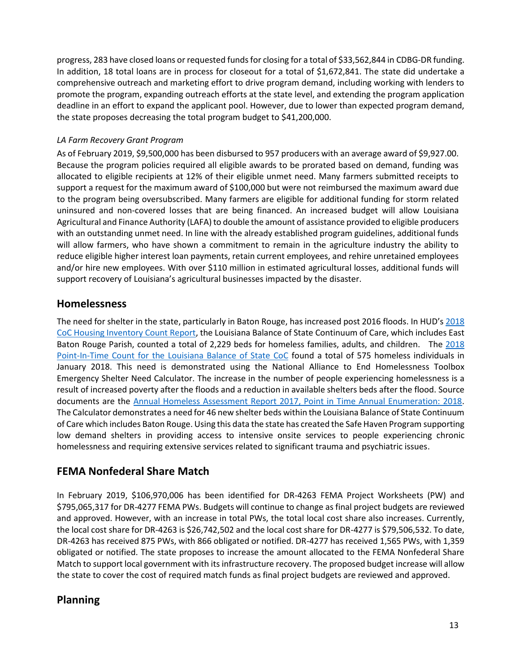progress, 283 have closed loans or requested funds for closing for a total of \$33,562,844 in CDBG-DR funding. In addition, 18 total loans are in process for closeout for a total of \$1,672,841. The state did undertake a comprehensive outreach and marketing effort to drive program demand, including working with lenders to promote the program, expanding outreach efforts at the state level, and extending the program application deadline in an effort to expand the applicant pool. However, due to lower than expected program demand, the state proposes decreasing the total program budget to \$41,200,000.

#### *LA Farm Recovery Grant Program*

As of February 2019, \$9,500,000 has been disbursed to 957 producers with an average award of \$9,927.00. Because the program policies required all eligible awards to be prorated based on demand, funding was allocated to eligible recipients at 12% of their eligible unmet need. Many farmers submitted receipts to support a request for the maximum award of \$100,000 but were not reimbursed the maximum award due to the program being oversubscribed. Many farmers are eligible for additional funding for storm related uninsured and non-covered losses that are being financed. An increased budget will allow Louisiana Agricultural and Finance Authority (LAFA) to double the amount of assistance provided to eligible producers with an outstanding unmet need. In line with the already established program guidelines, additional funds will allow farmers, who have shown a commitment to remain in the agriculture industry the ability to reduce eligible higher interest loan payments, retain current employees, and rehire unretained employees and/or hire new employees. With over \$110 million in estimated agricultural losses, additional funds will support recovery of Louisiana's agricultural businesses impacted by the disaster.

## **Homelessness**

The need for shelter in the state, particularly in Baton Rouge, has increased post 2016 floods. In HUD's [2018](https://www.hudexchange.info/resource/reportmanagement/published/CoC_HIC_CoC_LA-509-2018_LA_2018.PDF)  [CoC Housing Inventory Count Report,](https://www.hudexchange.info/resource/reportmanagement/published/CoC_HIC_CoC_LA-509-2018_LA_2018.PDF) the Louisiana Balance of State Continuum of Care, which includes East Baton Rouge Parish, counted a total of 2,229 beds for homeless families, adults, and children. The [2018](https://www.hudexchange.info/resource/reportmanagement/published/CoC_PopSub_CoC_LA-509-2018_LA_2018.pdf)  [Point-In-Time Count for the Louisiana Balance of State CoC](https://www.hudexchange.info/resource/reportmanagement/published/CoC_PopSub_CoC_LA-509-2018_LA_2018.pdf) found a total of 575 homeless individuals in January 2018. This need is demonstrated using the National Alliance to End Homelessness Toolbox Emergency Shelter Need Calculator. The increase in the number of people experiencing homelessness is a result of increased poverty after the floods and a reduction in available shelters beds after the flood. Source documents are the [Annual Homeless Assessment Report 2017, Point in Time Annual Enumeration: 2018.](http://www.venturacoc.org/images/2017_HUD_Homeless_Report.compressed.pdf) The Calculator demonstrates a need for 46 new shelter beds within the Louisiana Balance of State Continuum of Care which includes Baton Rouge. Using this data the state has created the Safe Haven Program supporting low demand shelters in providing access to intensive onsite services to people experiencing chronic homelessness and requiring extensive services related to significant trauma and psychiatric issues.

## **FEMA Nonfederal Share Match**

In February 2019, \$106,970,006 has been identified for DR-4263 FEMA Project Worksheets (PW) and \$795,065,317 for DR-4277 FEMA PWs. Budgets will continue to change as final project budgets are reviewed and approved. However, with an increase in total PWs, the total local cost share also increases. Currently, the local cost share for DR-4263 is \$26,742,502 and the local cost share for DR-4277 is \$79,506,532. To date, DR-4263 has received 875 PWs, with 866 obligated or notified. DR-4277 has received 1,565 PWs, with 1,359 obligated or notified. The state proposes to increase the amount allocated to the FEMA Nonfederal Share Match to support local government with its infrastructure recovery. The proposed budget increase will allow the state to cover the cost of required match funds as final project budgets are reviewed and approved.

## **Planning**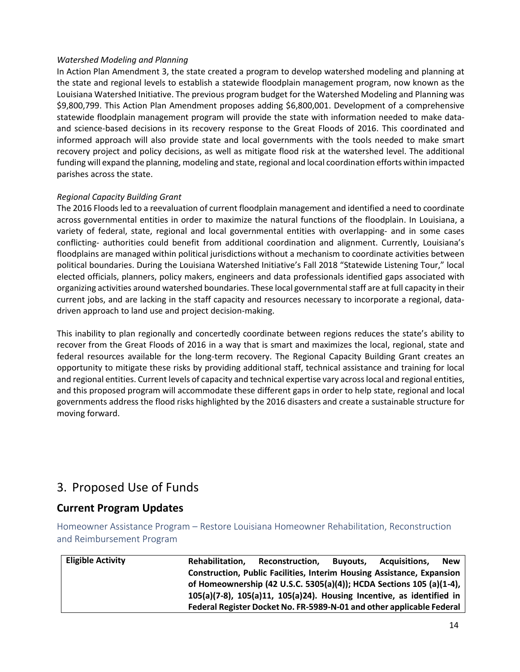#### *Watershed Modeling and Planning*

In Action Plan Amendment 3, the state created a program to develop watershed modeling and planning at the state and regional levels to establish a statewide floodplain management program, now known as the Louisiana Watershed Initiative. The previous program budget for the Watershed Modeling and Planning was \$9,800,799. This Action Plan Amendment proposes adding \$6,800,001. Development of a comprehensive statewide floodplain management program will provide the state with information needed to make dataand science-based decisions in its recovery response to the Great Floods of 2016. This coordinated and informed approach will also provide state and local governments with the tools needed to make smart recovery project and policy decisions, as well as mitigate flood risk at the watershed level. The additional funding will expand the planning, modeling and state, regional and local coordination efforts within impacted parishes across the state.

#### *Regional Capacity Building Grant*

The 2016 Floods led to a reevaluation of current floodplain management and identified a need to coordinate across governmental entities in order to maximize the natural functions of the floodplain. In Louisiana, a variety of federal, state, regional and local governmental entities with overlapping- and in some cases conflicting- authorities could benefit from additional coordination and alignment. Currently, Louisiana's floodplains are managed within political jurisdictions without a mechanism to coordinate activities between political boundaries. During the Louisiana Watershed Initiative's Fall 2018 "Statewide Listening Tour," local elected officials, planners, policy makers, engineers and data professionals identified gaps associated with organizing activities around watershed boundaries. These local governmental staff are at full capacity in their current jobs, and are lacking in the staff capacity and resources necessary to incorporate a regional, datadriven approach to land use and project decision-making.

This inability to plan regionally and concertedly coordinate between regions reduces the state's ability to recover from the Great Floods of 2016 in a way that is smart and maximizes the local, regional, state and federal resources available for the long-term recovery. The Regional Capacity Building Grant creates an opportunity to mitigate these risks by providing additional staff, technical assistance and training for local and regional entities. Current levels of capacity and technical expertise vary acrosslocal and regional entities, and this proposed program will accommodate these different gaps in order to help state, regional and local governments address the flood risks highlighted by the 2016 disasters and create a sustainable structure for moving forward.

## 3. Proposed Use of Funds

## **Current Program Updates**

Homeowner Assistance Program – Restore Louisiana Homeowner Rehabilitation, Reconstruction and Reimbursement Program

| <b>Eligible Activity</b> | Rehabilitation. | Reconstruction.                                                                | <b>Buvouts.</b> | Acquisitions. | New |
|--------------------------|-----------------|--------------------------------------------------------------------------------|-----------------|---------------|-----|
|                          |                 | <b>Construction, Public Facilities, Interim Housing Assistance, Expansion</b>  |                 |               |     |
|                          |                 | of Homeownership (42 U.S.C. 5305(a)(4)); HCDA Sections 105 (a)(1-4),           |                 |               |     |
|                          |                 | $105(a)(7-8)$ , $105(a)11$ , $105(a)24$ ). Housing Incentive, as identified in |                 |               |     |
|                          |                 | Federal Register Docket No. FR-5989-N-01 and other applicable Federal          |                 |               |     |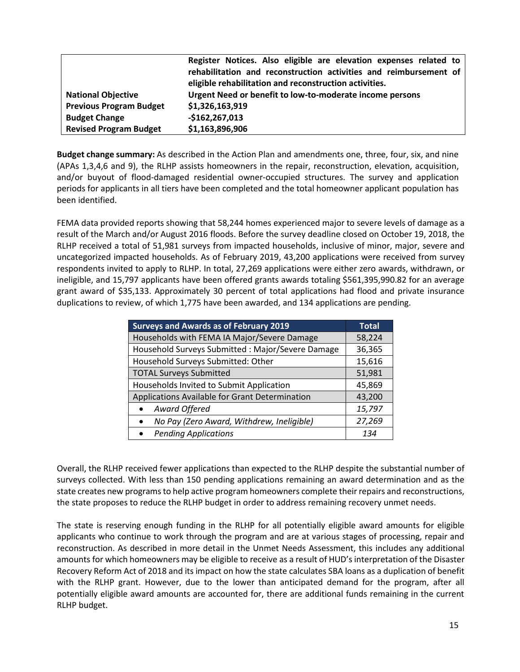|                                | Register Notices. Also eligible are elevation expenses related to<br>rehabilitation and reconstruction activities and reimbursement of<br>eligible rehabilitation and reconstruction activities. |
|--------------------------------|--------------------------------------------------------------------------------------------------------------------------------------------------------------------------------------------------|
| <b>National Objective</b>      | Urgent Need or benefit to low-to-moderate income persons                                                                                                                                         |
| <b>Previous Program Budget</b> | \$1,326,163,919                                                                                                                                                                                  |
| <b>Budget Change</b>           | $-$162,267,013$                                                                                                                                                                                  |
| <b>Revised Program Budget</b>  | \$1,163,896,906                                                                                                                                                                                  |

**Budget change summary:** As described in the Action Plan and amendments one, three, four, six, and nine (APAs 1,3,4,6 and 9), the RLHP assists homeowners in the repair, reconstruction, elevation, acquisition, and/or buyout of flood-damaged residential owner-occupied structures. The survey and application periods for applicants in all tiers have been completed and the total homeowner applicant population has been identified.

FEMA data provided reports showing that 58,244 homes experienced major to severe levels of damage as a result of the March and/or August 2016 floods. Before the survey deadline closed on October 19, 2018, the RLHP received a total of 51,981 surveys from impacted households, inclusive of minor, major, severe and uncategorized impacted households. As of February 2019, 43,200 applications were received from survey respondents invited to apply to RLHP. In total, 27,269 applications were either zero awards, withdrawn, or ineligible, and 15,797 applicants have been offered grants awards totaling \$561,395,990.82 for an average grant award of \$35,133. Approximately 30 percent of total applications had flood and private insurance duplications to review, of which 1,775 have been awarded, and 134 applications are pending.

| <b>Surveys and Awards as of February 2019</b>     | <b>Total</b> |
|---------------------------------------------------|--------------|
| Households with FEMA IA Major/Severe Damage       | 58,224       |
| Household Surveys Submitted : Major/Severe Damage | 36,365       |
| Household Surveys Submitted: Other                | 15,616       |
| <b>TOTAL Surveys Submitted</b>                    | 51,981       |
| Households Invited to Submit Application          | 45,869       |
| Applications Available for Grant Determination    | 43,200       |
| Award Offered<br>$\bullet$                        | 15,797       |
| No Pay (Zero Award, Withdrew, Ineligible)         | 27,269       |
| <b>Pending Applications</b>                       | 134          |

Overall, the RLHP received fewer applications than expected to the RLHP despite the substantial number of surveys collected. With less than 150 pending applications remaining an award determination and as the state creates new programs to help active program homeowners complete their repairs and reconstructions, the state proposes to reduce the RLHP budget in order to address remaining recovery unmet needs.

The state is reserving enough funding in the RLHP for all potentially eligible award amounts for eligible applicants who continue to work through the program and are at various stages of processing, repair and reconstruction. As described in more detail in the Unmet Needs Assessment, this includes any additional amounts for which homeowners may be eligible to receive as a result of HUD's interpretation of the Disaster Recovery Reform Act of 2018 and its impact on how the state calculates SBA loans as a duplication of benefit with the RLHP grant. However, due to the lower than anticipated demand for the program, after all potentially eligible award amounts are accounted for, there are additional funds remaining in the current RLHP budget.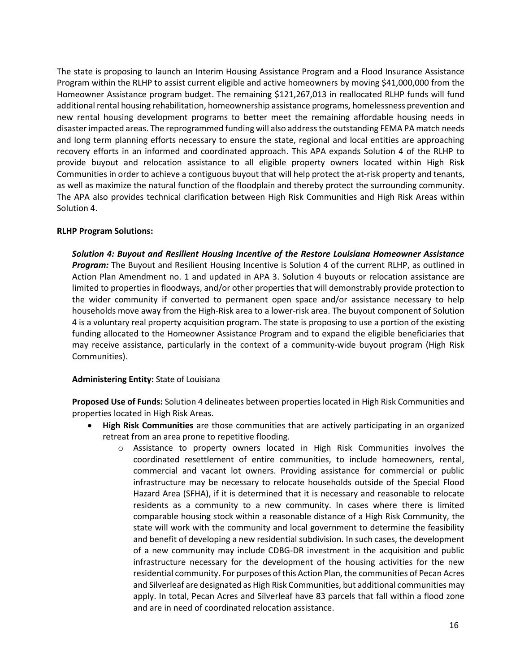The state is proposing to launch an Interim Housing Assistance Program and a Flood Insurance Assistance Program within the RLHP to assist current eligible and active homeowners by moving \$41,000,000 from the Homeowner Assistance program budget. The remaining \$121,267,013 in reallocated RLHP funds will fund additional rental housing rehabilitation, homeownership assistance programs, homelessness prevention and new rental housing development programs to better meet the remaining affordable housing needs in disaster impacted areas. The reprogrammed funding will also address the outstanding FEMA PA match needs and long term planning efforts necessary to ensure the state, regional and local entities are approaching recovery efforts in an informed and coordinated approach. This APA expands Solution 4 of the RLHP to provide buyout and relocation assistance to all eligible property owners located within High Risk Communities in order to achieve a contiguous buyout that will help protect the at-risk property and tenants, as well as maximize the natural function of the floodplain and thereby protect the surrounding community. The APA also provides technical clarification between High Risk Communities and High Risk Areas within Solution 4.

#### **RLHP Program Solutions:**

*Solution 4: Buyout and Resilient Housing Incentive of the Restore Louisiana Homeowner Assistance Program:* The Buyout and Resilient Housing Incentive is Solution 4 of the current RLHP, as outlined in Action Plan Amendment no. 1 and updated in APA 3. Solution 4 buyouts or relocation assistance are limited to properties in floodways, and/or other properties that will demonstrably provide protection to the wider community if converted to permanent open space and/or assistance necessary to help households move away from the High-Risk area to a lower-risk area. The buyout component of Solution 4 is a voluntary real property acquisition program. The state is proposing to use a portion of the existing funding allocated to the Homeowner Assistance Program and to expand the eligible beneficiaries that may receive assistance, particularly in the context of a community-wide buyout program (High Risk Communities).

#### **Administering Entity:** State of Louisiana

**Proposed Use of Funds:** Solution 4 delineates between properties located in High Risk Communities and properties located in High Risk Areas.

- **High Risk Communities** are those communities that are actively participating in an organized retreat from an area prone to repetitive flooding.
	- o Assistance to property owners located in High Risk Communities involves the coordinated resettlement of entire communities, to include homeowners, rental, commercial and vacant lot owners. Providing assistance for commercial or public infrastructure may be necessary to relocate households outside of the Special Flood Hazard Area (SFHA), if it is determined that it is necessary and reasonable to relocate residents as a community to a new community. In cases where there is limited comparable housing stock within a reasonable distance of a High Risk Community, the state will work with the community and local government to determine the feasibility and benefit of developing a new residential subdivision. In such cases, the development of a new community may include CDBG-DR investment in the acquisition and public infrastructure necessary for the development of the housing activities for the new residential community. For purposes of this Action Plan, the communities of Pecan Acres and Silverleaf are designated as High Risk Communities, but additional communities may apply. In total, Pecan Acres and Silverleaf have 83 parcels that fall within a flood zone and are in need of coordinated relocation assistance.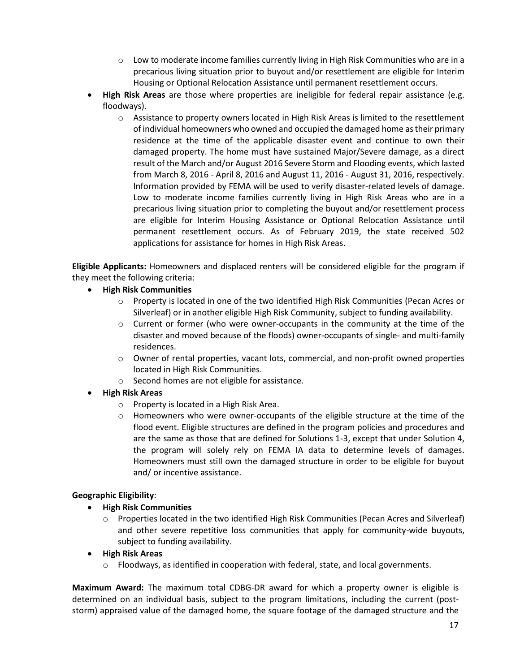- $\circ$  Low to moderate income families currently living in High Risk Communities who are in a precarious living situation prior to buyout and/or resettlement are eligible for Interim Housing or Optional Relocation Assistance until permanent resettlement occurs.
- **High Risk Areas** are those where properties are ineligible for federal repair assistance (e.g. floodways).
	- $\circ$  Assistance to property owners located in High Risk Areas is limited to the resettlement of individual homeowners who owned and occupied the damaged home as their primary residence at the time of the applicable disaster event and continue to own their damaged property. The home must have sustained Major/Severe damage, as a direct result of the March and/or August 2016 Severe Storm and Flooding events, which lasted from March 8, 2016 - April 8, 2016 and August 11, 2016 - August 31, 2016, respectively. Information provided by FEMA will be used to verify disaster-related levels of damage. Low to moderate income families currently living in High Risk Areas who are in a precarious living situation prior to completing the buyout and/or resettlement process are eligible for Interim Housing Assistance or Optional Relocation Assistance until permanent resettlement occurs. As of February 2019, the state received 502 applications for assistance for homes in High Risk Areas.

**Eligible Applicants:** Homeowners and displaced renters will be considered eligible for the program if they meet the following criteria:

- **High Risk Communities**
	- o Property is located in one of the two identified High Risk Communities (Pecan Acres or Silverleaf) or in another eligible High Risk Community, subject to funding availability.
	- $\circ$  Current or former (who were owner-occupants in the community at the time of the disaster and moved because of the floods) owner-occupants of single- and multi-family residences.
	- $\circ$  Owner of rental properties, vacant lots, commercial, and non-profit owned properties located in High Risk Communities.
	- o Second homes are not eligible for assistance.
- **High Risk Areas**
	- o Property is located in a High Risk Area.
	- o Homeowners who were owner-occupants of the eligible structure at the time of the flood event. Eligible structures are defined in the program policies and procedures and are the same as those that are defined for Solutions 1-3, except that under Solution 4, the program will solely rely on FEMA IA data to determine levels of damages. Homeowners must still own the damaged structure in order to be eligible for buyout and/ or incentive assistance.

#### **Geographic Eligibility**:

#### **High Risk Communities**

- o Properties located in the two identified High Risk Communities (Pecan Acres and Silverleaf) and other severe repetitive loss communities that apply for community-wide buyouts, subject to funding availability.
- **High Risk Areas**
	- $\circ$  Floodways, as identified in cooperation with federal, state, and local governments.

**Maximum Award:** The maximum total CDBG-DR award for which a property owner is eligible is determined on an individual basis, subject to the program limitations, including the current (poststorm) appraised value of the damaged home, the square footage of the damaged structure and the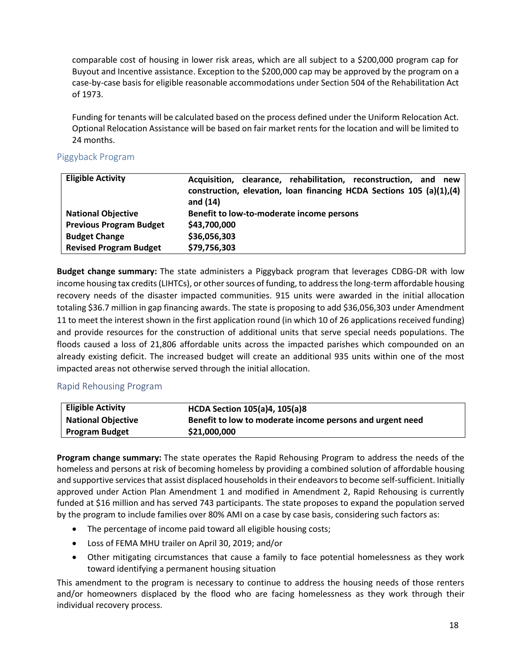comparable cost of housing in lower risk areas, which are all subject to a \$200,000 program cap for Buyout and Incentive assistance. Exception to the \$200,000 cap may be approved by the program on a case-by-case basis for eligible reasonable accommodations under Section 504 of the Rehabilitation Act of 1973.

Funding for tenants will be calculated based on the process defined under the Uniform Relocation Act. Optional Relocation Assistance will be based on fair market rents for the location and will be limited to 24 months.

#### Piggyback Program

| <b>Eligible Activity</b>       | Acquisition, clearance, rehabilitation, reconstruction, and<br>new<br>construction, elevation, loan financing HCDA Sections 105 (a)(1),(4)<br>and $(14)$ |
|--------------------------------|----------------------------------------------------------------------------------------------------------------------------------------------------------|
| <b>National Objective</b>      | Benefit to low-to-moderate income persons                                                                                                                |
| <b>Previous Program Budget</b> | \$43,700,000                                                                                                                                             |
| <b>Budget Change</b>           | \$36,056,303                                                                                                                                             |
| <b>Revised Program Budget</b>  | \$79,756,303                                                                                                                                             |

**Budget change summary:** The state administers a Piggyback program that leverages CDBG-DR with low income housing tax credits (LIHTCs), or other sources of funding, to address the long-term affordable housing recovery needs of the disaster impacted communities. 915 units were awarded in the initial allocation totaling \$36.7 million in gap financing awards. The state is proposing to add \$36,056,303 under Amendment 11 to meet the interest shown in the first application round (in which 10 of 26 applications received funding) and provide resources for the construction of additional units that serve special needs populations. The floods caused a loss of 21,806 affordable units across the impacted parishes which compounded on an already existing deficit. The increased budget will create an additional 935 units within one of the most impacted areas not otherwise served through the initial allocation.

#### Rapid Rehousing Program

| <b>Eligible Activity</b>  | <b>HCDA Section 105(a)4, 105(a)8</b>                      |
|---------------------------|-----------------------------------------------------------|
| <b>National Objective</b> | Benefit to low to moderate income persons and urgent need |
| Program Budget            | \$21,000,000                                              |

**Program change summary:** The state operates the Rapid Rehousing Program to address the needs of the homeless and persons at risk of becoming homeless by providing a combined solution of affordable housing and supportive services that assist displaced households in their endeavors to become self-sufficient. Initially approved under Action Plan Amendment 1 and modified in Amendment 2, Rapid Rehousing is currently funded at \$16 million and has served 743 participants. The state proposes to expand the population served by the program to include families over 80% AMI on a case by case basis, considering such factors as:

- The percentage of income paid toward all eligible housing costs;
- Loss of FEMA MHU trailer on April 30, 2019; and/or
- Other mitigating circumstances that cause a family to face potential homelessness as they work toward identifying a permanent housing situation

This amendment to the program is necessary to continue to address the housing needs of those renters and/or homeowners displaced by the flood who are facing homelessness as they work through their individual recovery process.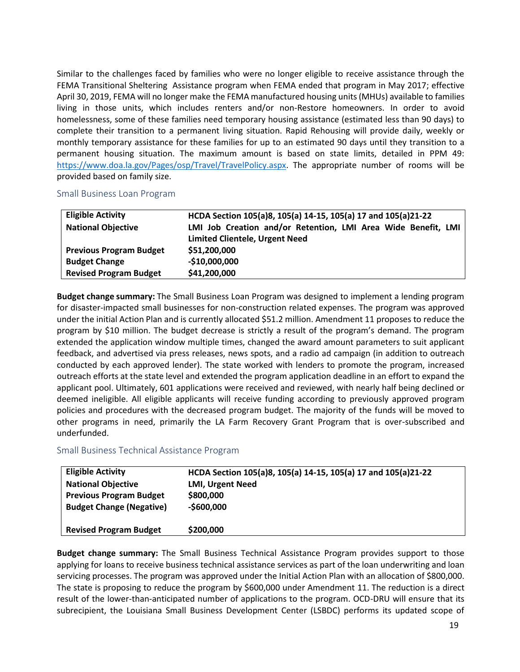Similar to the challenges faced by families who were no longer eligible to receive assistance through the FEMA Transitional Sheltering Assistance program when FEMA ended that program in May 2017; effective April 30, 2019, FEMA will no longer make the FEMA manufactured housing units (MHUs) available to families living in those units, which includes renters and/or non-Restore homeowners. In order to avoid homelessness, some of these families need temporary housing assistance (estimated less than 90 days) to complete their transition to a permanent living situation. Rapid Rehousing will provide daily, weekly or monthly temporary assistance for these families for up to an estimated 90 days until they transition to a permanent housing situation. The maximum amount is based on state limits, detailed in PPM 49: [https://www.doa.la.gov/Pages/osp/Travel/TravelPolicy.aspx.](https://www.doa.la.gov/Pages/osp/Travel/TravelPolicy.aspx) The appropriate number of rooms will be provided based on family size.

#### Small Business Loan Program

| <b>Eligible Activity</b>       | HCDA Section 105(a)8, 105(a) 14-15, 105(a) 17 and 105(a)21-22 |
|--------------------------------|---------------------------------------------------------------|
| <b>National Objective</b>      | LMI Job Creation and/or Retention, LMI Area Wide Benefit, LMI |
|                                | <b>Limited Clientele, Urgent Need</b>                         |
| <b>Previous Program Budget</b> | \$51,200,000                                                  |
| <b>Budget Change</b>           | $-$10,000,000$                                                |
| <b>Revised Program Budget</b>  | \$41,200,000                                                  |

**Budget change summary:** The Small Business Loan Program was designed to implement a lending program for disaster-impacted small businesses for non-construction related expenses. The program was approved under the initial Action Plan and is currently allocated \$51.2 million. Amendment 11 proposes to reduce the program by \$10 million. The budget decrease is strictly a result of the program's demand. The program extended the application window multiple times, changed the award amount parameters to suit applicant feedback, and advertised via press releases, news spots, and a radio ad campaign (in addition to outreach conducted by each approved lender). The state worked with lenders to promote the program, increased outreach efforts at the state level and extended the program application deadline in an effort to expand the applicant pool. Ultimately, 601 applications were received and reviewed, with nearly half being declined or deemed ineligible. All eligible applicants will receive funding according to previously approved program policies and procedures with the decreased program budget. The majority of the funds will be moved to other programs in need, primarily the LA Farm Recovery Grant Program that is over-subscribed and underfunded.

#### Small Business Technical Assistance Program

| <b>Eligible Activity</b>        | HCDA Section 105(a)8, 105(a) 14-15, 105(a) 17 and 105(a)21-22 |
|---------------------------------|---------------------------------------------------------------|
| <b>National Objective</b>       | <b>LMI, Urgent Need</b>                                       |
| <b>Previous Program Budget</b>  | \$800,000                                                     |
| <b>Budget Change (Negative)</b> | $-$ \$600,000                                                 |
|                                 |                                                               |
| <b>Revised Program Budget</b>   | \$200,000                                                     |

**Budget change summary:** The Small Business Technical Assistance Program provides support to those applying for loans to receive business technical assistance services as part of the loan underwriting and loan servicing processes. The program was approved under the Initial Action Plan with an allocation of \$800,000. The state is proposing to reduce the program by \$600,000 under Amendment 11. The reduction is a direct result of the lower-than-anticipated number of applications to the program. OCD-DRU will ensure that its subrecipient, the Louisiana Small Business Development Center (LSBDC) performs its updated scope of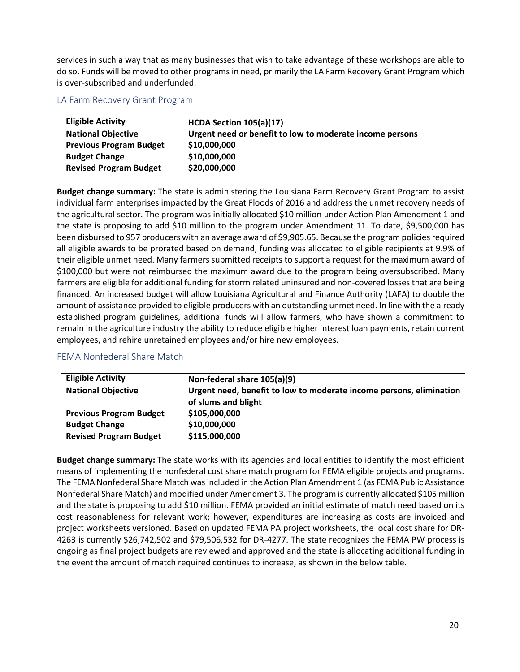services in such a way that as many businesses that wish to take advantage of these workshops are able to do so. Funds will be moved to other programs in need, primarily the LA Farm Recovery Grant Program which is over-subscribed and underfunded.

#### LA Farm Recovery Grant Program

| <b>Eligible Activity</b>       | HCDA Section 105(a)(17)                                  |
|--------------------------------|----------------------------------------------------------|
| <b>National Objective</b>      | Urgent need or benefit to low to moderate income persons |
| <b>Previous Program Budget</b> | \$10,000,000                                             |
| <b>Budget Change</b>           | \$10,000,000                                             |
| <b>Revised Program Budget</b>  | \$20,000,000                                             |

**Budget change summary:** The state is administering the Louisiana Farm Recovery Grant Program to assist individual farm enterprises impacted by the Great Floods of 2016 and address the unmet recovery needs of the agricultural sector. The program was initially allocated \$10 million under Action Plan Amendment 1 and the state is proposing to add \$10 million to the program under Amendment 11. To date, \$9,500,000 has been disbursed to 957 producers with an average award of \$9,905.65. Because the program policies required all eligible awards to be prorated based on demand, funding was allocated to eligible recipients at 9.9% of their eligible unmet need. Many farmers submitted receipts to support a request for the maximum award of \$100,000 but were not reimbursed the maximum award due to the program being oversubscribed. Many farmers are eligible for additional funding for storm related uninsured and non-covered losses that are being financed. An increased budget will allow Louisiana Agricultural and Finance Authority (LAFA) to double the amount of assistance provided to eligible producers with an outstanding unmet need. In line with the already established program guidelines, additional funds will allow farmers, who have shown a commitment to remain in the agriculture industry the ability to reduce eligible higher interest loan payments, retain current employees, and rehire unretained employees and/or hire new employees.

#### FEMA Nonfederal Share Match

| <b>Eligible Activity</b>       | Non-federal share 105(a)(9)                                         |
|--------------------------------|---------------------------------------------------------------------|
| <b>National Objective</b>      | Urgent need, benefit to low to moderate income persons, elimination |
|                                | of slums and blight                                                 |
| <b>Previous Program Budget</b> | \$105,000,000                                                       |
| <b>Budget Change</b>           | \$10,000,000                                                        |
| <b>Revised Program Budget</b>  | \$115,000,000                                                       |

**Budget change summary:** The state works with its agencies and local entities to identify the most efficient means of implementing the nonfederal cost share match program for FEMA eligible projects and programs. The FEMA Nonfederal Share Match was included in the Action Plan Amendment 1 (as FEMA Public Assistance Nonfederal Share Match) and modified under Amendment 3. The program is currently allocated \$105 million and the state is proposing to add \$10 million. FEMA provided an initial estimate of match need based on its cost reasonableness for relevant work; however, expenditures are increasing as costs are invoiced and project worksheets versioned. Based on updated FEMA PA project worksheets, the local cost share for DR-4263 is currently \$26,742,502 and \$79,506,532 for DR-4277. The state recognizes the FEMA PW process is ongoing as final project budgets are reviewed and approved and the state is allocating additional funding in the event the amount of match required continues to increase, as shown in the below table.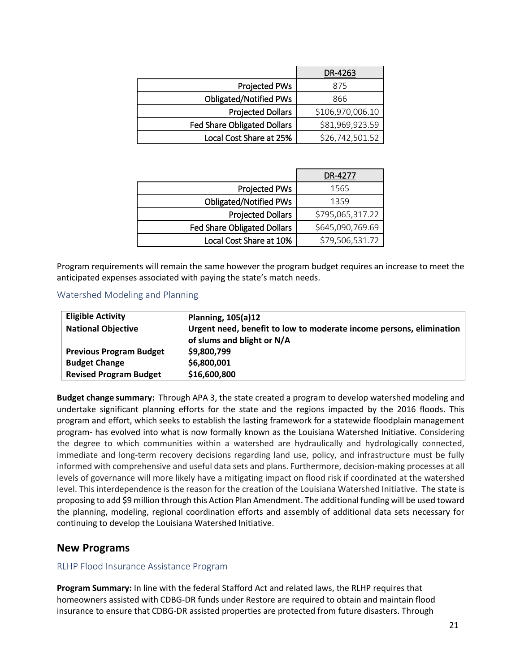|                                    | DR-4263          |
|------------------------------------|------------------|
| Projected PWs                      | 875              |
| <b>Obligated/Notified PWs</b>      | 866              |
| <b>Projected Dollars</b>           | \$106,970,006.10 |
| <b>Fed Share Obligated Dollars</b> | \$81,969,923.59  |
| Local Cost Share at 25%            | \$26,742,501.52  |

|                                    | DR-4277          |
|------------------------------------|------------------|
| Projected PWs                      | 1565             |
| <b>Obligated/Notified PWs</b>      | 1359             |
| <b>Projected Dollars</b>           | \$795,065,317.22 |
| <b>Fed Share Obligated Dollars</b> | \$645,090,769.69 |
| Local Cost Share at 10%            | \$79,506,531.72  |

Program requirements will remain the same however the program budget requires an increase to meet the anticipated expenses associated with paying the state's match needs.

#### Watershed Modeling and Planning

| <b>Eligible Activity</b>       | <b>Planning, 105(a)12</b>                                           |
|--------------------------------|---------------------------------------------------------------------|
| <b>National Objective</b>      | Urgent need, benefit to low to moderate income persons, elimination |
|                                | of slums and blight or N/A                                          |
| <b>Previous Program Budget</b> | \$9,800,799                                                         |
| <b>Budget Change</b>           | \$6,800,001                                                         |
| <b>Revised Program Budget</b>  | \$16,600,800                                                        |

**Budget change summary:** Through APA 3, the state created a program to develop watershed modeling and undertake significant planning efforts for the state and the regions impacted by the 2016 floods. This program and effort, which seeks to establish the lasting framework for a statewide floodplain management program- has evolved into what is now formally known as the Louisiana Watershed Initiative. Considering the degree to which communities within a watershed are hydraulically and hydrologically connected, immediate and long-term recovery decisions regarding land use, policy, and infrastructure must be fully informed with comprehensive and useful data sets and plans. Furthermore, decision-making processes at all levels of governance will more likely have a mitigating impact on flood risk if coordinated at the watershed level. This interdependence is the reason for the creation of the Louisiana Watershed Initiative. The state is proposing to add \$9 million through this Action Plan Amendment. The additional funding will be used toward the planning, modeling, regional coordination efforts and assembly of additional data sets necessary for continuing to develop the Louisiana Watershed Initiative.

### **New Programs**

#### RLHP Flood Insurance Assistance Program

**Program Summary:** In line with the federal Stafford Act and related laws, the RLHP requires that homeowners assisted with CDBG-DR funds under Restore are required to obtain and maintain flood insurance to ensure that CDBG-DR assisted properties are protected from future disasters. Through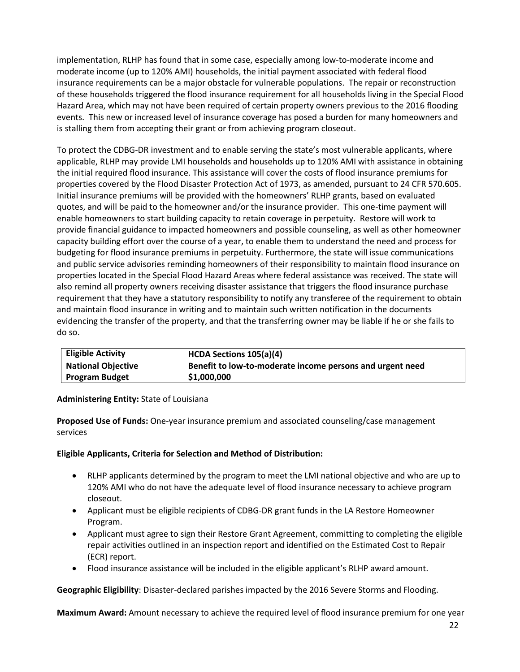implementation, RLHP has found that in some case, especially among low-to-moderate income and moderate income (up to 120% AMI) households, the initial payment associated with federal flood insurance requirements can be a major obstacle for vulnerable populations. The repair or reconstruction of these households triggered the flood insurance requirement for all households living in the Special Flood Hazard Area, which may not have been required of certain property owners previous to the 2016 flooding events. This new or increased level of insurance coverage has posed a burden for many homeowners and is stalling them from accepting their grant or from achieving program closeout.

To protect the CDBG-DR investment and to enable serving the state's most vulnerable applicants, where applicable, RLHP may provide LMI households and households up to 120% AMI with assistance in obtaining the initial required flood insurance. This assistance will cover the costs of flood insurance premiums for properties covered by the Flood Disaster Protection Act of 1973, as amended, pursuant to 24 CFR 570.605. Initial insurance premiums will be provided with the homeowners' RLHP grants, based on evaluated quotes, and will be paid to the homeowner and/or the insurance provider. This one-time payment will enable homeowners to start building capacity to retain coverage in perpetuity. Restore will work to provide financial guidance to impacted homeowners and possible counseling, as well as other homeowner capacity building effort over the course of a year, to enable them to understand the need and process for budgeting for flood insurance premiums in perpetuity. Furthermore, the state will issue communications and public service advisories reminding homeowners of their responsibility to maintain flood insurance on properties located in the Special Flood Hazard Areas where federal assistance was received. The state will also remind all property owners receiving disaster assistance that triggers the flood insurance purchase requirement that they have a statutory responsibility to notify any transferee of the requirement to obtain and maintain flood insurance in writing and to maintain such written notification in the documents evidencing the transfer of the property, and that the transferring owner may be liable if he or she fails to do so.

| <b>Eligible Activity</b>  | <b>HCDA Sections 105(a)(4)</b>                            |
|---------------------------|-----------------------------------------------------------|
| <b>National Objective</b> | Benefit to low-to-moderate income persons and urgent need |
| <b>Program Budget</b>     | \$1,000,000                                               |

#### **Administering Entity:** State of Louisiana

**Proposed Use of Funds:** One-year insurance premium and associated counseling/case management services

#### **Eligible Applicants, Criteria for Selection and Method of Distribution:**

- RLHP applicants determined by the program to meet the LMI national objective and who are up to 120% AMI who do not have the adequate level of flood insurance necessary to achieve program closeout.
- Applicant must be eligible recipients of CDBG-DR grant funds in the LA Restore Homeowner Program.
- Applicant must agree to sign their Restore Grant Agreement, committing to completing the eligible repair activities outlined in an inspection report and identified on the Estimated Cost to Repair (ECR) report.
- Flood insurance assistance will be included in the eligible applicant's RLHP award amount.

**Geographic Eligibility**: Disaster-declared parishes impacted by the 2016 Severe Storms and Flooding.

**Maximum Award:** Amount necessary to achieve the required level of flood insurance premium for one year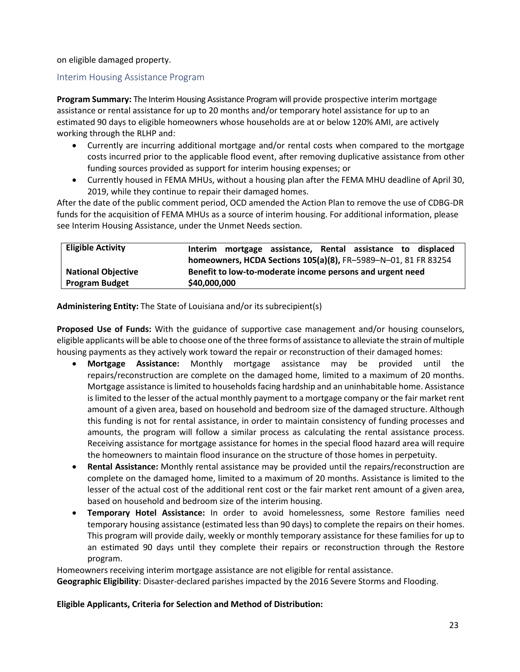on eligible damaged property.

#### Interim Housing Assistance Program

**Program Summary:** The Interim Housing Assistance Program will provide prospective interim mortgage assistance or rental assistance for up to 20 months and/or temporary hotel assistance for up to an estimated 90 days to eligible homeowners whose households are at or below 120% AMI, are actively working through the RLHP and:

- Currently are incurring additional mortgage and/or rental costs when compared to the mortgage costs incurred prior to the applicable flood event, after removing duplicative assistance from other funding sources provided as support for interim housing expenses; or
- Currently housed in FEMA MHUs, without a housing plan after the FEMA MHU deadline of April 30, 2019, while they continue to repair their damaged homes.

After the date of the public comment period, OCD amended the Action Plan to remove the use of CDBG-DR funds for the acquisition of FEMA MHUs as a source of interim housing. For additional information, please see Interim Housing Assistance, under the Unmet Needs section.

| <b>Eligible Activity</b>  | Interim mortgage assistance, Rental assistance to displaced    |
|---------------------------|----------------------------------------------------------------|
|                           | homeowners, HCDA Sections 105(a)(8), FR-5989-N-01, 81 FR 83254 |
| <b>National Objective</b> | Benefit to low-to-moderate income persons and urgent need      |
| <b>Program Budget</b>     | \$40,000,000                                                   |

**Administering Entity:** The State of Louisiana and/or its subrecipient(s)

**Proposed Use of Funds:** With the guidance of supportive case management and/or housing counselors, eligible applicants will be able to choose one of the three forms of assistance to alleviate the strain of multiple housing payments as they actively work toward the repair or reconstruction of their damaged homes:

- **Mortgage Assistance:** Monthly mortgage assistance may be provided until the repairs/reconstruction are complete on the damaged home, limited to a maximum of 20 months. Mortgage assistance is limited to households facing hardship and an uninhabitable home. Assistance is limited to the lesser of the actual monthly payment to a mortgage company or the fair market rent amount of a given area, based on household and bedroom size of the damaged structure. Although this funding is not for rental assistance, in order to maintain consistency of funding processes and amounts, the program will follow a similar process as calculating the rental assistance process. Receiving assistance for mortgage assistance for homes in the special flood hazard area will require the homeowners to maintain flood insurance on the structure of those homes in perpetuity.
- **Rental Assistance:** Monthly rental assistance may be provided until the repairs/reconstruction are complete on the damaged home, limited to a maximum of 20 months. Assistance is limited to the lesser of the actual cost of the additional rent cost or the fair market rent amount of a given area, based on household and bedroom size of the interim housing.
- **Temporary Hotel Assistance:** In order to avoid homelessness, some Restore families need temporary housing assistance (estimated less than 90 days) to complete the repairs on their homes. This program will provide daily, weekly or monthly temporary assistance for these families for up to an estimated 90 days until they complete their repairs or reconstruction through the Restore program.

Homeowners receiving interim mortgage assistance are not eligible for rental assistance.

**Geographic Eligibility**: Disaster-declared parishes impacted by the 2016 Severe Storms and Flooding.

**Eligible Applicants, Criteria for Selection and Method of Distribution:**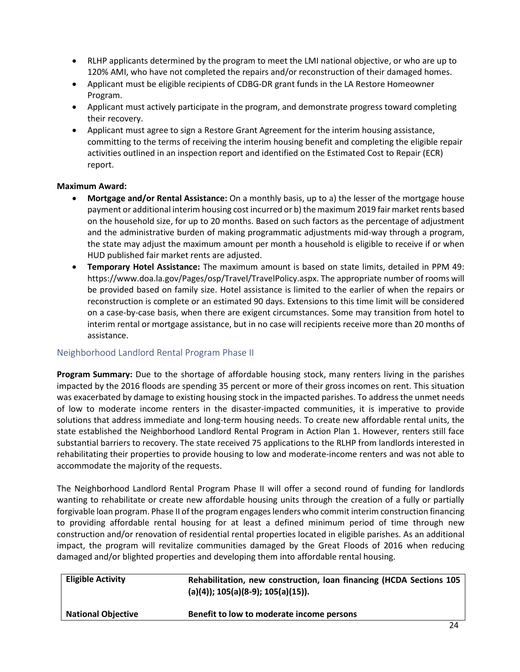- RLHP applicants determined by the program to meet the LMI national objective, or who are up to 120% AMI, who have not completed the repairs and/or reconstruction of their damaged homes.
- Applicant must be eligible recipients of CDBG-DR grant funds in the LA Restore Homeowner Program.
- Applicant must actively participate in the program, and demonstrate progress toward completing their recovery.
- Applicant must agree to sign a Restore Grant Agreement for the interim housing assistance, committing to the terms of receiving the interim housing benefit and completing the eligible repair activities outlined in an inspection report and identified on the Estimated Cost to Repair (ECR) report.

#### **Maximum Award:**

- **Mortgage and/or Rental Assistance:** On a monthly basis, up to a) the lesser of the mortgage house payment or additional interim housing cost incurred or b) the maximum 2019 fair market rents based on the household size, for up to 20 months. Based on such factors as the percentage of adjustment and the administrative burden of making programmatic adjustments mid-way through a program, the state may adjust the maximum amount per month a household is eligible to receive if or when HUD published fair market rents are adjusted.
- **Temporary Hotel Assistance:** The maximum amount is based on state limits, detailed in PPM 49: https://www.doa.la.gov/Pages/osp/Travel/TravelPolicy.aspx. The appropriate number of rooms will be provided based on family size. Hotel assistance is limited to the earlier of when the repairs or reconstruction is complete or an estimated 90 days. Extensions to this time limit will be considered on a case-by-case basis, when there are exigent circumstances. Some may transition from hotel to interim rental or mortgage assistance, but in no case will recipients receive more than 20 months of assistance.

#### Neighborhood Landlord Rental Program Phase II

**Program Summary:** Due to the shortage of affordable housing stock, many renters living in the parishes impacted by the 2016 floods are spending 35 percent or more of their gross incomes on rent. This situation was exacerbated by damage to existing housing stock in the impacted parishes. To address the unmet needs of low to moderate income renters in the disaster-impacted communities, it is imperative to provide solutions that address immediate and long-term housing needs. To create new affordable rental units, the state established the Neighborhood Landlord Rental Program in Action Plan 1. However, renters still face substantial barriers to recovery. The state received 75 applications to the RLHP from landlords interested in rehabilitating their properties to provide housing to low and moderate-income renters and was not able to accommodate the majority of the requests.

The Neighborhood Landlord Rental Program Phase II will offer a second round of funding for landlords wanting to rehabilitate or create new affordable housing units through the creation of a fully or partially forgivable loan program. Phase II of the program engages lenders who commit interim construction financing to providing affordable rental housing for at least a defined minimum period of time through new construction and/or renovation of residential rental properties located in eligible parishes. As an additional impact, the program will revitalize communities damaged by the Great Floods of 2016 when reducing damaged and/or blighted properties and developing them into affordable rental housing.

| <b>Eligible Activity</b>  | Rehabilitation, new construction, loan financing (HCDA Sections 105<br>$(a)(4)$ ; 105(a)(8-9); 105(a)(15)). |  |
|---------------------------|-------------------------------------------------------------------------------------------------------------|--|
| <b>National Objective</b> | Benefit to low to moderate income persons                                                                   |  |
|                           |                                                                                                             |  |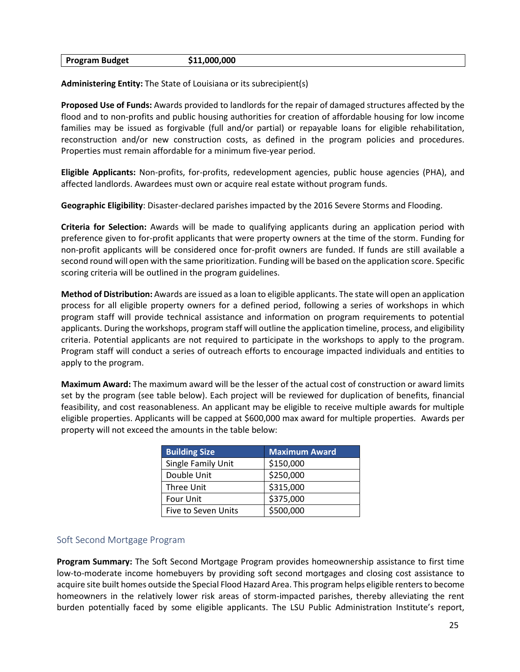| <b>Program Budget</b> | \$11,000,000 |  |
|-----------------------|--------------|--|
|-----------------------|--------------|--|

**Administering Entity:** The State of Louisiana or its subrecipient(s)

**Proposed Use of Funds:** Awards provided to landlords for the repair of damaged structures affected by the flood and to non-profits and public housing authorities for creation of affordable housing for low income families may be issued as forgivable (full and/or partial) or repayable loans for eligible rehabilitation, reconstruction and/or new construction costs, as defined in the program policies and procedures. Properties must remain affordable for a minimum five-year period.

**Eligible Applicants:** Non-profits, for-profits, redevelopment agencies, public house agencies (PHA), and affected landlords. Awardees must own or acquire real estate without program funds.

**Geographic Eligibility**: Disaster-declared parishes impacted by the 2016 Severe Storms and Flooding.

**Criteria for Selection:** Awards will be made to qualifying applicants during an application period with preference given to for-profit applicants that were property owners at the time of the storm. Funding for non-profit applicants will be considered once for-profit owners are funded. If funds are still available a second round will open with the same prioritization. Funding will be based on the application score. Specific scoring criteria will be outlined in the program guidelines.

**Method of Distribution:** Awards are issued as a loan to eligible applicants. The state will open an application process for all eligible property owners for a defined period, following a series of workshops in which program staff will provide technical assistance and information on program requirements to potential applicants. During the workshops, program staff will outline the application timeline, process, and eligibility criteria. Potential applicants are not required to participate in the workshops to apply to the program. Program staff will conduct a series of outreach efforts to encourage impacted individuals and entities to apply to the program.

**Maximum Award:** The maximum award will be the lesser of the actual cost of construction or award limits set by the program (see table below). Each project will be reviewed for duplication of benefits, financial feasibility, and cost reasonableness. An applicant may be eligible to receive multiple awards for multiple eligible properties. Applicants will be capped at \$600,000 max award for multiple properties. Awards per property will not exceed the amounts in the table below:

| <b>Building Size</b> | <b>Maximum Award</b> |
|----------------------|----------------------|
| Single Family Unit   | \$150,000            |
| Double Unit          | \$250,000            |
| Three Unit           | \$315,000            |
| Four Unit            | \$375,000            |
| Five to Seven Units  | \$500,000            |

#### Soft Second Mortgage Program

**Program Summary:** The Soft Second Mortgage Program provides homeownership assistance to first time low-to-moderate income homebuyers by providing soft second mortgages and closing cost assistance to acquire site built homes outside the Special Flood Hazard Area. This program helps eligible renters to become homeowners in the relatively lower risk areas of storm-impacted parishes, thereby alleviating the rent burden potentially faced by some eligible applicants. The LSU Public Administration Institute's report,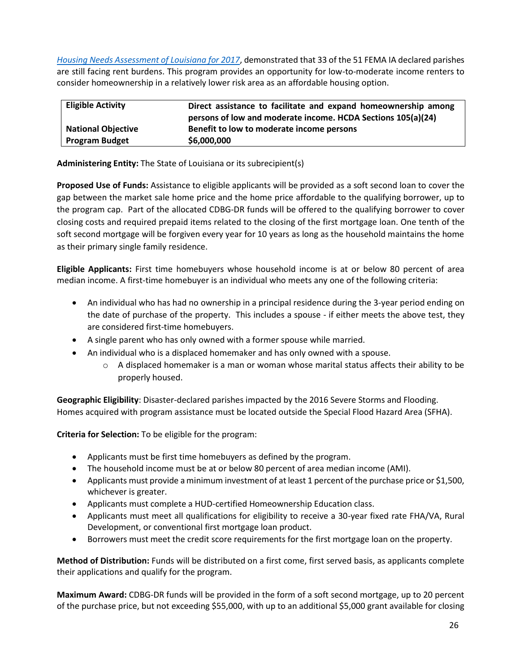*[Housing Needs Assessment of Louisiana for 2017](https://www.lhc.la.gov/2019-louisiana-housing-needs-assessment)*, demonstrated that 33 of the 51 FEMA IA declared parishes are still facing rent burdens. This program provides an opportunity for low-to-moderate income renters to consider homeownership in a relatively lower risk area as an affordable housing option.

| <b>Eligible Activity</b>  | Direct assistance to facilitate and expand homeownership among |
|---------------------------|----------------------------------------------------------------|
|                           | persons of low and moderate income. HCDA Sections 105(a)(24)   |
| <b>National Objective</b> | Benefit to low to moderate income persons                      |
| <b>Program Budget</b>     | \$6,000,000                                                    |

**Administering Entity:** The State of Louisiana or its subrecipient(s)

**Proposed Use of Funds:** Assistance to eligible applicants will be provided as a soft second loan to cover the gap between the market sale home price and the home price affordable to the qualifying borrower, up to the program cap. Part of the allocated CDBG-DR funds will be offered to the qualifying borrower to cover closing costs and required prepaid items related to the closing of the first mortgage loan. One tenth of the soft second mortgage will be forgiven every year for 10 years as long as the household maintains the home as their primary single family residence.

**Eligible Applicants:** First time homebuyers whose household income is at or below 80 percent of area median income. A first-time homebuyer is an individual who meets any one of the following criteria:

- An individual who has had no ownership in a principal residence during the 3-year period ending on the date of purchase of the property. This includes a spouse - if either meets the above test, they are considered first-time homebuyers.
- A single parent who has only owned with a former spouse while married.
- An individual who is a displaced homemaker and has only owned with a spouse.
	- $\circ$  A displaced homemaker is a man or woman whose marital status affects their ability to be properly housed.

**Geographic Eligibility**: Disaster-declared parishes impacted by the 2016 Severe Storms and Flooding. Homes acquired with program assistance must be located outside the Special Flood Hazard Area (SFHA).

**Criteria for Selection:** To be eligible for the program:

- Applicants must be first time homebuyers as defined by the program.
- The household income must be at or below 80 percent of area median income (AMI).
- Applicants must provide a minimum investment of at least 1 percent of the purchase price or \$1,500, whichever is greater.
- Applicants must complete a HUD-certified Homeownership Education class.
- Applicants must meet all qualifications for eligibility to receive a 30-year fixed rate FHA/VA, Rural Development, or conventional first mortgage loan product.
- Borrowers must meet the credit score requirements for the first mortgage loan on the property.

**Method of Distribution:** Funds will be distributed on a first come, first served basis, as applicants complete their applications and qualify for the program.

**Maximum Award:** CDBG-DR funds will be provided in the form of a soft second mortgage, up to 20 percent of the purchase price, but not exceeding \$55,000, with up to an additional \$5,000 grant available for closing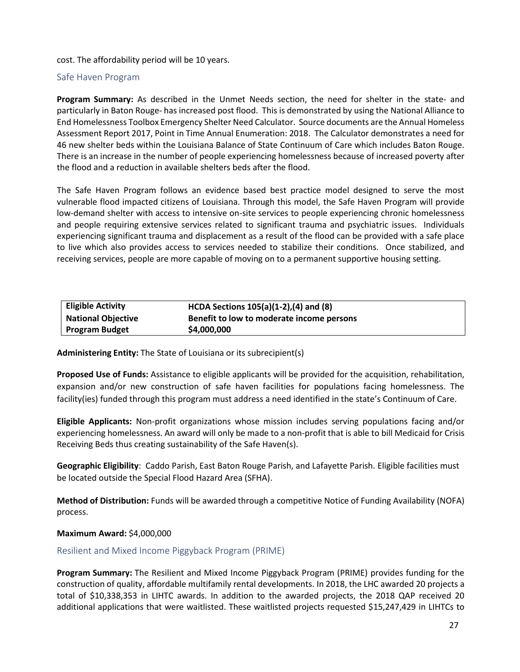cost. The affordability period will be 10 years.

#### Safe Haven Program

**Program Summary:** As described in the Unmet Needs section, the need for shelter in the state- and particularly in Baton Rouge- has increased post flood. This is demonstrated by using the National Alliance to End Homelessness Toolbox Emergency Shelter Need Calculator. Source documents are the Annual Homeless Assessment Report 2017, Point in Time Annual Enumeration: 2018. The Calculator demonstrates a need for 46 new shelter beds within the Louisiana Balance of State Continuum of Care which includes Baton Rouge. There is an increase in the number of people experiencing homelessness because of increased poverty after the flood and a reduction in available shelters beds after the flood.

The Safe Haven Program follows an evidence based best practice model designed to serve the most vulnerable flood impacted citizens of Louisiana. Through this model, the Safe Haven Program will provide low-demand shelter with access to intensive on-site services to people experiencing chronic homelessness and people requiring extensive services related to significant trauma and psychiatric issues. Individuals experiencing significant trauma and displacement as a result of the flood can be provided with a safe place to live which also provides access to services needed to stabilize their conditions. Once stabilized, and receiving services, people are more capable of moving on to a permanent supportive housing setting.

| <b>Eligible Activity</b>  | HCDA Sections 105(a)(1-2),(4) and (8)     |
|---------------------------|-------------------------------------------|
| <b>National Objective</b> | Benefit to low to moderate income persons |
| <b>Program Budget</b>     | \$4,000,000                               |

**Administering Entity:** The State of Louisiana or its subrecipient(s)

**Proposed Use of Funds:** Assistance to eligible applicants will be provided for the acquisition, rehabilitation, expansion and/or new construction of safe haven facilities for populations facing homelessness. The facility(ies) funded through this program must address a need identified in the state's Continuum of Care.

**Eligible Applicants:** Non-profit organizations whose mission includes serving populations facing and/or experiencing homelessness. An award will only be made to a non-profit that is able to bill Medicaid for Crisis Receiving Beds thus creating sustainability of the Safe Haven(s).

**Geographic Eligibility**: Caddo Parish, East Baton Rouge Parish, and Lafayette Parish. Eligible facilities must be located outside the Special Flood Hazard Area (SFHA).

**Method of Distribution:** Funds will be awarded through a competitive Notice of Funding Availability (NOFA) process.

#### **Maximum Award:** \$4,000,000

Resilient and Mixed Income Piggyback Program (PRIME)

**Program Summary:** The Resilient and Mixed Income Piggyback Program (PRIME) provides funding for the construction of quality, affordable multifamily rental developments. In 2018, the LHC awarded 20 projects a total of \$10,338,353 in LIHTC awards. In addition to the awarded projects, the 2018 QAP received 20 additional applications that were waitlisted. These waitlisted projects requested \$15,247,429 in LIHTCs to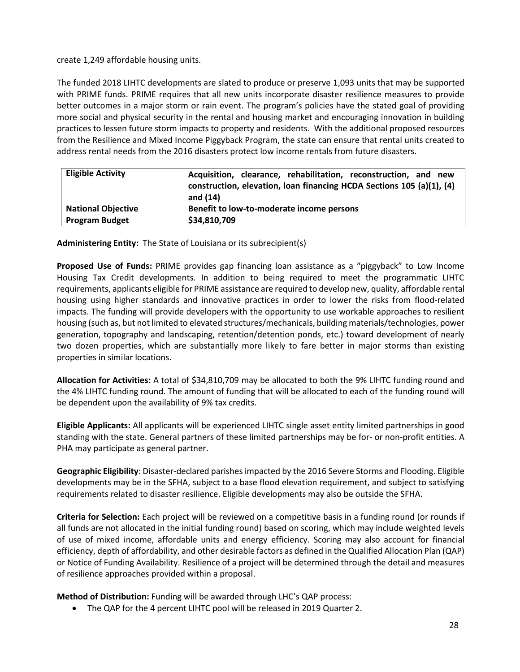create 1,249 affordable housing units.

The funded 2018 LIHTC developments are slated to produce or preserve 1,093 units that may be supported with PRIME funds. PRIME requires that all new units incorporate disaster resilience measures to provide better outcomes in a major storm or rain event. The program's policies have the stated goal of providing more social and physical security in the rental and housing market and encouraging innovation in building practices to lessen future storm impacts to property and residents. With the additional proposed resources from the Resilience and Mixed Income Piggyback Program, the state can ensure that rental units created to address rental needs from the 2016 disasters protect low income rentals from future disasters.

| <b>Eligible Activity</b>  | Acquisition, clearance, rehabilitation, reconstruction, and new<br>construction, elevation, loan financing HCDA Sections 105 (a)(1), (4)<br>and $(14)$ |
|---------------------------|--------------------------------------------------------------------------------------------------------------------------------------------------------|
| <b>National Objective</b> | Benefit to low-to-moderate income persons                                                                                                              |
| <b>Program Budget</b>     | \$34,810,709                                                                                                                                           |

**Administering Entity:** The State of Louisiana or its subrecipient(s)

**Proposed Use of Funds:** PRIME provides gap financing loan assistance as a "piggyback" to Low Income Housing Tax Credit developments. In addition to being required to meet the programmatic LIHTC requirements, applicants eligible for PRIME assistance are required to develop new, quality, affordable rental housing using higher standards and innovative practices in order to lower the risks from flood-related impacts. The funding will provide developers with the opportunity to use workable approaches to resilient housing (such as, but not limited to elevated structures/mechanicals, building materials/technologies, power generation, topography and landscaping, retention/detention ponds, etc.) toward development of nearly two dozen properties, which are substantially more likely to fare better in major storms than existing properties in similar locations.

**Allocation for Activities:** A total of \$34,810,709 may be allocated to both the 9% LIHTC funding round and the 4% LIHTC funding round. The amount of funding that will be allocated to each of the funding round will be dependent upon the availability of 9% tax credits.

**Eligible Applicants:** All applicants will be experienced LIHTC single asset entity limited partnerships in good standing with the state. General partners of these limited partnerships may be for- or non-profit entities. A PHA may participate as general partner.

**Geographic Eligibility**: Disaster-declared parishes impacted by the 2016 Severe Storms and Flooding. Eligible developments may be in the SFHA, subject to a base flood elevation requirement, and subject to satisfying requirements related to disaster resilience. Eligible developments may also be outside the SFHA.

**Criteria for Selection:** Each project will be reviewed on a competitive basis in a funding round (or rounds if all funds are not allocated in the initial funding round) based on scoring, which may include weighted levels of use of mixed income, affordable units and energy efficiency. Scoring may also account for financial efficiency, depth of affordability, and other desirable factors as defined in the Qualified Allocation Plan (QAP) or Notice of Funding Availability. Resilience of a project will be determined through the detail and measures of resilience approaches provided within a proposal.

**Method of Distribution:** Funding will be awarded through LHC's QAP process:

The QAP for the 4 percent LIHTC pool will be released in 2019 Quarter 2.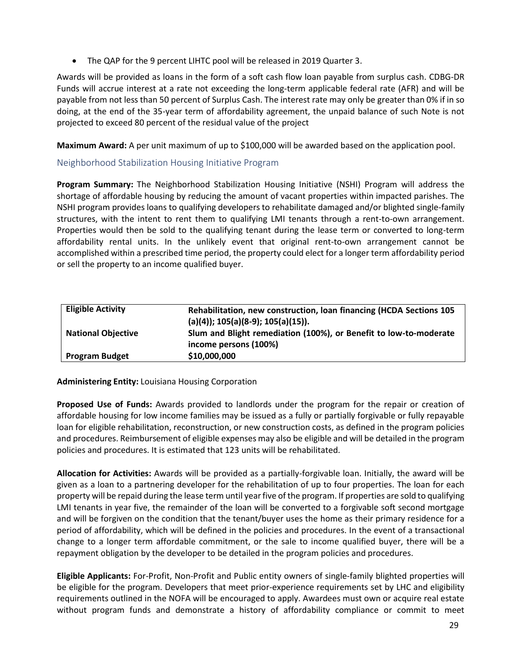The QAP for the 9 percent LIHTC pool will be released in 2019 Quarter 3.

Awards will be provided as loans in the form of a soft cash flow loan payable from surplus cash. CDBG-DR Funds will accrue interest at a rate not exceeding the long-term applicable federal rate (AFR) and will be payable from not less than 50 percent of Surplus Cash. The interest rate may only be greater than 0% if in so doing, at the end of the 35-year term of affordability agreement, the unpaid balance of such Note is not projected to exceed 80 percent of the residual value of the project

**Maximum Award:** A per unit maximum of up to \$100,000 will be awarded based on the application pool.

#### Neighborhood Stabilization Housing Initiative Program

**Program Summary:** The Neighborhood Stabilization Housing Initiative (NSHI) Program will address the shortage of affordable housing by reducing the amount of vacant properties within impacted parishes. The NSHI program provides loans to qualifying developers to rehabilitate damaged and/or blighted single-family structures, with the intent to rent them to qualifying LMI tenants through a rent-to-own arrangement. Properties would then be sold to the qualifying tenant during the lease term or converted to long-term affordability rental units. In the unlikely event that original rent-to-own arrangement cannot be accomplished within a prescribed time period, the property could elect for a longer term affordability period or sell the property to an income qualified buyer.

| <b>Eligible Activity</b>  | Rehabilitation, new construction, loan financing (HCDA Sections 105 |
|---------------------------|---------------------------------------------------------------------|
|                           | $(a)(4)$ ; 105(a)(8-9); 105(a)(15)).                                |
| <b>National Objective</b> | Slum and Blight remediation (100%), or Benefit to low-to-moderate   |
|                           | income persons (100%)                                               |
| <b>Program Budget</b>     | \$10,000,000                                                        |

#### **Administering Entity:** Louisiana Housing Corporation

**Proposed Use of Funds:** Awards provided to landlords under the program for the repair or creation of affordable housing for low income families may be issued as a fully or partially forgivable or fully repayable loan for eligible rehabilitation, reconstruction, or new construction costs, as defined in the program policies and procedures. Reimbursement of eligible expenses may also be eligible and will be detailed in the program policies and procedures. It is estimated that 123 units will be rehabilitated.

**Allocation for Activities:** Awards will be provided as a partially-forgivable loan. Initially, the award will be given as a loan to a partnering developer for the rehabilitation of up to four properties. The loan for each property will be repaid during the lease term until year five of the program. If properties are sold to qualifying LMI tenants in year five, the remainder of the loan will be converted to a forgivable soft second mortgage and will be forgiven on the condition that the tenant/buyer uses the home as their primary residence for a period of affordability, which will be defined in the policies and procedures. In the event of a transactional change to a longer term affordable commitment, or the sale to income qualified buyer, there will be a repayment obligation by the developer to be detailed in the program policies and procedures.

**Eligible Applicants:** For-Profit, Non-Profit and Public entity owners of single-family blighted properties will be eligible for the program. Developers that meet prior-experience requirements set by LHC and eligibility requirements outlined in the NOFA will be encouraged to apply. Awardees must own or acquire real estate without program funds and demonstrate a history of affordability compliance or commit to meet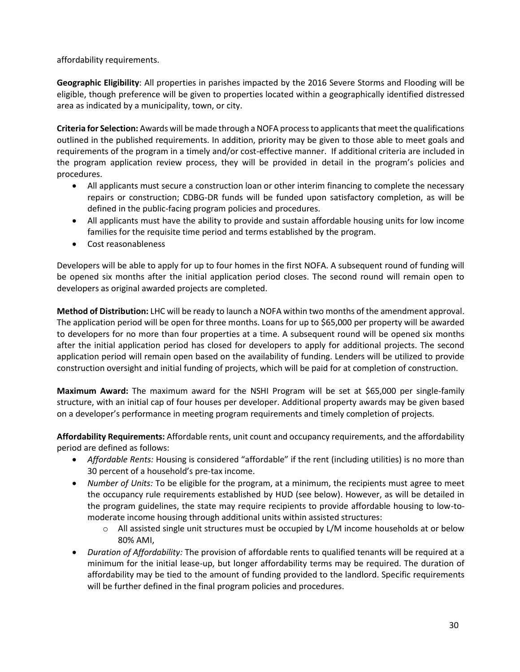affordability requirements.

**Geographic Eligibility**: All properties in parishes impacted by the 2016 Severe Storms and Flooding will be eligible, though preference will be given to properties located within a geographically identified distressed area as indicated by a municipality, town, or city.

**Criteria for Selection:** Awards will be made through a NOFA process to applicants that meet the qualifications outlined in the published requirements. In addition, priority may be given to those able to meet goals and requirements of the program in a timely and/or cost-effective manner. If additional criteria are included in the program application review process, they will be provided in detail in the program's policies and procedures.

- All applicants must secure a construction loan or other interim financing to complete the necessary repairs or construction; CDBG-DR funds will be funded upon satisfactory completion, as will be defined in the public-facing program policies and procedures.
- All applicants must have the ability to provide and sustain affordable housing units for low income families for the requisite time period and terms established by the program.
- Cost reasonableness

Developers will be able to apply for up to four homes in the first NOFA. A subsequent round of funding will be opened six months after the initial application period closes. The second round will remain open to developers as original awarded projects are completed.

**Method of Distribution:** LHC will be ready to launch a NOFA within two months of the amendment approval. The application period will be open for three months. Loans for up to \$65,000 per property will be awarded to developers for no more than four properties at a time. A subsequent round will be opened six months after the initial application period has closed for developers to apply for additional projects. The second application period will remain open based on the availability of funding. Lenders will be utilized to provide construction oversight and initial funding of projects, which will be paid for at completion of construction.

**Maximum Award:** The maximum award for the NSHI Program will be set at \$65,000 per single-family structure, with an initial cap of four houses per developer. Additional property awards may be given based on a developer's performance in meeting program requirements and timely completion of projects.

**Affordability Requirements:** Affordable rents, unit count and occupancy requirements, and the affordability period are defined as follows:

- *Affordable Rents:* Housing is considered "affordable" if the rent (including utilities) is no more than 30 percent of a household's pre-tax income.
- *Number of Units:* To be eligible for the program, at a minimum, the recipients must agree to meet the occupancy rule requirements established by HUD (see below). However, as will be detailed in the program guidelines, the state may require recipients to provide affordable housing to low-tomoderate income housing through additional units within assisted structures:
	- o All assisted single unit structures must be occupied by L/M income households at or below 80% AMI,
- *Duration of Affordability:* The provision of affordable rents to qualified tenants will be required at a minimum for the initial lease-up, but longer affordability terms may be required. The duration of affordability may be tied to the amount of funding provided to the landlord. Specific requirements will be further defined in the final program policies and procedures.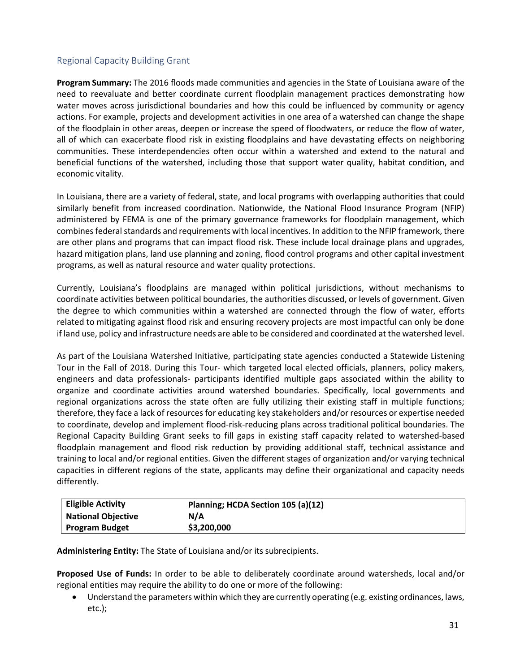#### Regional Capacity Building Grant

**Program Summary:** The 2016 floods made communities and agencies in the State of Louisiana aware of the need to reevaluate and better coordinate current floodplain management practices demonstrating how water moves across jurisdictional boundaries and how this could be influenced by community or agency actions. For example, projects and development activities in one area of a watershed can change the shape of the floodplain in other areas, deepen or increase the speed of floodwaters, or reduce the flow of water, all of which can exacerbate flood risk in existing floodplains and have devastating effects on neighboring communities. These interdependencies often occur within a watershed and extend to the natural and beneficial functions of the watershed, including those that support water quality, habitat condition, and economic vitality.

In Louisiana, there are a variety of federal, state, and local programs with overlapping authorities that could similarly benefit from increased coordination. Nationwide, the National Flood Insurance Program (NFIP) administered by FEMA is one of the primary governance frameworks for floodplain management, which combines federal standards and requirements with local incentives. In addition to the NFIP framework, there are other plans and programs that can impact flood risk. These include local drainage plans and upgrades, hazard mitigation plans, land use planning and zoning, flood control programs and other capital investment programs, as well as natural resource and water quality protections.

Currently, Louisiana's floodplains are managed within political jurisdictions, without mechanisms to coordinate activities between political boundaries, the authorities discussed, or levels of government. Given the degree to which communities within a watershed are connected through the flow of water, efforts related to mitigating against flood risk and ensuring recovery projects are most impactful can only be done if land use, policy and infrastructure needs are able to be considered and coordinated at the watershed level.

As part of the Louisiana Watershed Initiative, participating state agencies conducted a Statewide Listening Tour in the Fall of 2018. During this Tour- which targeted local elected officials, planners, policy makers, engineers and data professionals- participants identified multiple gaps associated within the ability to organize and coordinate activities around watershed boundaries. Specifically, local governments and regional organizations across the state often are fully utilizing their existing staff in multiple functions; therefore, they face a lack of resources for educating key stakeholders and/or resources or expertise needed to coordinate, develop and implement flood-risk-reducing plans across traditional political boundaries. The Regional Capacity Building Grant seeks to fill gaps in existing staff capacity related to watershed-based floodplain management and flood risk reduction by providing additional staff, technical assistance and training to local and/or regional entities. Given the different stages of organization and/or varying technical capacities in different regions of the state, applicants may define their organizational and capacity needs differently.

| <b>Eligible Activity</b>  | Planning; HCDA Section 105 (a)(12) |
|---------------------------|------------------------------------|
| <b>National Objective</b> | N/A                                |
| <b>Program Budget</b>     | \$3,200,000                        |

**Administering Entity:** The State of Louisiana and/or its subrecipients.

**Proposed Use of Funds:** In order to be able to deliberately coordinate around watersheds, local and/or regional entities may require the ability to do one or more of the following:

 Understand the parameters within which they are currently operating (e.g. existing ordinances, laws, etc.);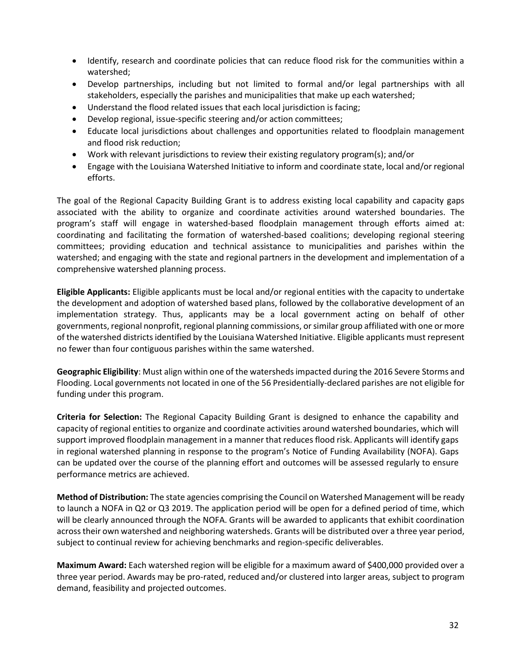- Identify, research and coordinate policies that can reduce flood risk for the communities within a watershed;
- Develop partnerships, including but not limited to formal and/or legal partnerships with all stakeholders, especially the parishes and municipalities that make up each watershed;
- Understand the flood related issues that each local jurisdiction is facing;
- Develop regional, issue-specific steering and/or action committees;
- Educate local jurisdictions about challenges and opportunities related to floodplain management and flood risk reduction;
- Work with relevant jurisdictions to review their existing regulatory program(s); and/or
- Engage with the Louisiana Watershed Initiative to inform and coordinate state, local and/or regional efforts.

The goal of the Regional Capacity Building Grant is to address existing local capability and capacity gaps associated with the ability to organize and coordinate activities around watershed boundaries. The program's staff will engage in watershed-based floodplain management through efforts aimed at: coordinating and facilitating the formation of watershed-based coalitions; developing regional steering committees; providing education and technical assistance to municipalities and parishes within the watershed; and engaging with the state and regional partners in the development and implementation of a comprehensive watershed planning process.

**Eligible Applicants:** Eligible applicants must be local and/or regional entities with the capacity to undertake the development and adoption of watershed based plans, followed by the collaborative development of an implementation strategy. Thus, applicants may be a local government acting on behalf of other governments, regional nonprofit, regional planning commissions, or similar group affiliated with one or more of the watershed districtsidentified by the Louisiana Watershed Initiative. Eligible applicants must represent no fewer than four contiguous parishes within the same watershed.

**Geographic Eligibility**: Must align within one of the watershedsimpacted during the 2016 Severe Storms and Flooding. Local governments not located in one of the 56 Presidentially-declared parishes are not eligible for funding under this program.

**Criteria for Selection:** The Regional Capacity Building Grant is designed to enhance the capability and capacity of regional entities to organize and coordinate activities around watershed boundaries, which will support improved floodplain management in a manner that reduces flood risk. Applicants will identify gaps in regional watershed planning in response to the program's Notice of Funding Availability (NOFA). Gaps can be updated over the course of the planning effort and outcomes will be assessed regularly to ensure performance metrics are achieved.

**Method of Distribution:** The state agencies comprising the Council on Watershed Management will be ready to launch a NOFA in Q2 or Q3 2019. The application period will be open for a defined period of time, which will be clearly announced through the NOFA. Grants will be awarded to applicants that exhibit coordination across their own watershed and neighboring watersheds. Grants will be distributed over a three year period, subject to continual review for achieving benchmarks and region-specific deliverables.

**Maximum Award:** Each watershed region will be eligible for a maximum award of \$400,000 provided over a three year period. Awards may be pro-rated, reduced and/or clustered into larger areas, subject to program demand, feasibility and projected outcomes.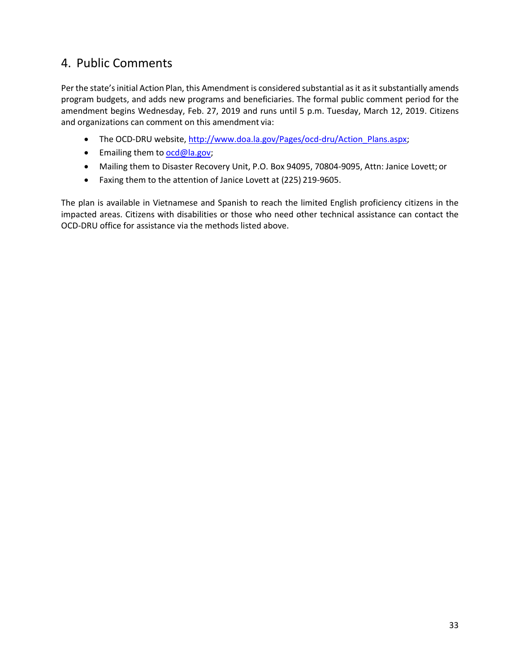# 4. Public Comments

Per the state's initial Action Plan, this Amendment is considered substantial as it as it substantially amends program budgets, and adds new programs and beneficiaries. The formal public comment period for the amendment begins Wednesday, Feb. 27, 2019 and runs until 5 p.m. Tuesday, March 12, 2019. Citizens and organizations can comment on this amendment via:

- The OCD-DRU website, [http://www.doa.la.gov/Pages/ocd-dru/Action\\_Plans.aspx;](http://www.doa.la.gov/Pages/ocd-dru/Action_Plans.aspx%3B)
- **Emailing them to [ocd@la.gov;](mailto:ocd@la.gov)**
- Mailing them to Disaster Recovery Unit, P.O. Box 94095, 70804-9095, Attn: Janice Lovett; or
- Faxing them to the attention of Janice Lovett at (225) 219-9605.

The plan is available in Vietnamese and Spanish to reach the limited English proficiency citizens in the impacted areas. Citizens with disabilities or those who need other technical assistance can contact the OCD-DRU office for assistance via the methods listed above.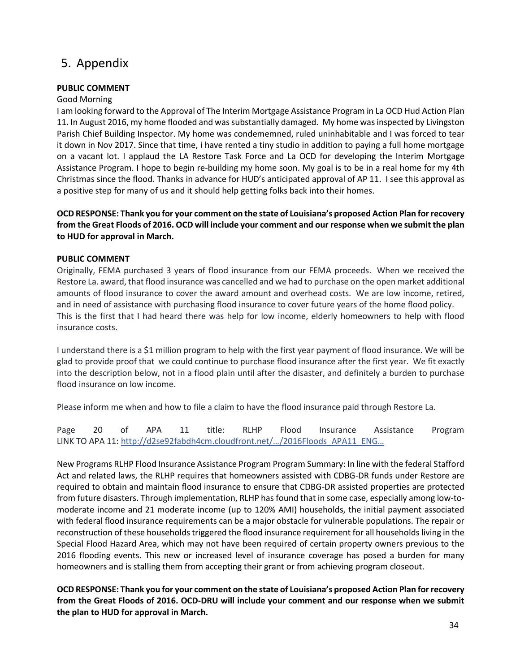# 5. Appendix

#### **PUBLIC COMMENT**

#### Good Morning

I am looking forward to the Approval of The Interim Mortgage Assistance Program in La OCD Hud Action Plan 11. In August 2016, my home flooded and was substantially damaged. My home was inspected by Livingston Parish Chief Building Inspector. My home was condememned, ruled uninhabitable and I was forced to tear it down in Nov 2017. Since that time, i have rented a tiny studio in addition to paying a full home mortgage on a vacant lot. I applaud the LA Restore Task Force and La OCD for developing the Interim Mortgage Assistance Program. I hope to begin re-building my home soon. My goal is to be in a real home for my 4th Christmas since the flood. Thanks in advance for HUD's anticipated approval of AP 11. I see this approval as a positive step for many of us and it should help getting folks back into their homes.

**OCD RESPONSE: Thank you for your comment on the state of Louisiana's proposed Action Plan for recovery from the Great Floods of 2016. OCD will include your comment and our response when we submit the plan to HUD for approval in March.** 

#### **PUBLIC COMMENT**

Originally, FEMA purchased 3 years of flood insurance from our FEMA proceeds. When we received the Restore La. award, that flood insurance was cancelled and we had to purchase on the open market additional amounts of flood insurance to cover the award amount and overhead costs. We are low income, retired, and in need of assistance with purchasing flood insurance to cover future years of the home flood policy. This is the first that I had heard there was help for low income, elderly homeowners to help with flood insurance costs.

I understand there is a \$1 million program to help with the first year payment of flood insurance. We will be glad to provide proof that we could continue to purchase flood insurance after the first year. We fit exactly into the description below, not in a flood plain until after the disaster, and definitely a burden to purchase flood insurance on low income.

Please inform me when and how to file a claim to have the flood insurance paid through Restore La.

Page 20 of APA 11 title: RLHP Flood Insurance Assistance Program LINK TO APA 11: [http://d2se92fabdh4cm.cloudfront.net/…/2016Floods\\_APA11\\_ENG…](http://d2se92fabdh4cm.cloudfront.net/wp-content/uploads/2019/02/18121858/2016Floods_APA11_ENGLISH_02-18-19.pdf?fbclid=IwAR2LnJY61AdJk5msBRvApWkoMr7xVcLoGfEKV77ddubPLoMldxB3mHYUC2o)

New Programs RLHP Flood Insurance Assistance Program Program Summary: In line with the federal Stafford Act and related laws, the RLHP requires that homeowners assisted with CDBG-DR funds under Restore are required to obtain and maintain flood insurance to ensure that CDBG-DR assisted properties are protected from future disasters. Through implementation, RLHP has found that in some case, especially among low-tomoderate income and 21 moderate income (up to 120% AMI) households, the initial payment associated with federal flood insurance requirements can be a major obstacle for vulnerable populations. The repair or reconstruction of these households triggered the flood insurance requirement for all households living in the Special Flood Hazard Area, which may not have been required of certain property owners previous to the 2016 flooding events. This new or increased level of insurance coverage has posed a burden for many homeowners and is stalling them from accepting their grant or from achieving program closeout.

**OCD RESPONSE: Thank you for your comment on the state of Louisiana's proposed Action Plan for recovery from the Great Floods of 2016. OCD-DRU will include your comment and our response when we submit the plan to HUD for approval in March.**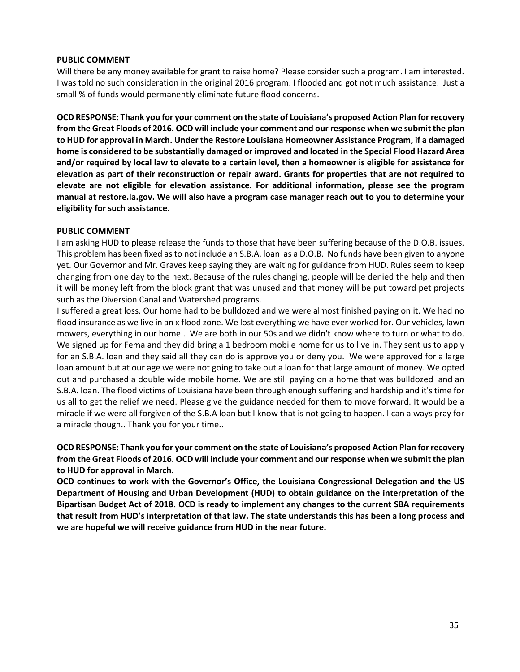#### **PUBLIC COMMENT**

Will there be any money available for grant to raise home? Please consider such a program. I am interested. I was told no such consideration in the original 2016 program. I flooded and got not much assistance. Just a small % of funds would permanently eliminate future flood concerns.

**OCD RESPONSE: Thank you for your comment on the state of Louisiana's proposed Action Plan for recovery from the Great Floods of 2016. OCD will include your comment and our response when we submit the plan to HUD for approval in March. Under the Restore Louisiana Homeowner Assistance Program, if a damaged home is considered to be substantially damaged or improved and located in the Special Flood Hazard Area and/or required by local law to elevate to a certain level, then a homeowner is eligible for assistance for elevation as part of their reconstruction or repair award. Grants for properties that are not required to elevate are not eligible for elevation assistance. For additional information, please see the program manual at restore.la.gov. We will also have a program case manager reach out to you to determine your eligibility for such assistance.** 

#### **PUBLIC COMMENT**

I am asking HUD to please release the funds to those that have been suffering because of the D.O.B. issues. This problem has been fixed as to not include an S.B.A. loan as a D.O.B. No funds have been given to anyone yet. Our Governor and Mr. Graves keep saying they are waiting for guidance from HUD. Rules seem to keep changing from one day to the next. Because of the rules changing, people will be denied the help and then it will be money left from the block grant that was unused and that money will be put toward pet projects such as the Diversion Canal and Watershed programs.

I suffered a great loss. Our home had to be bulldozed and we were almost finished paying on it. We had no flood insurance as we live in an x flood zone. We lost everything we have ever worked for. Our vehicles, lawn mowers, everything in our home.. We are both in our 50s and we didn't know where to turn or what to do. We signed up for Fema and they did bring a 1 bedroom mobile home for us to live in. They sent us to apply for an S.B.A. loan and they said all they can do is approve you or deny you. We were approved for a large loan amount but at our age we were not going to take out a loan for that large amount of money. We opted out and purchased a double wide mobile home. We are still paying on a home that was bulldozed and an S.B.A. loan. The flood victims of Louisiana have been through enough suffering and hardship and it's time for us all to get the relief we need. Please give the guidance needed for them to move forward. It would be a miracle if we were all forgiven of the S.B.A loan but I know that is not going to happen. I can always pray for a miracle though.. Thank you for your time..

#### **OCD RESPONSE: Thank you for your comment on the state of Louisiana's proposed Action Plan for recovery from the Great Floods of 2016. OCD will include your comment and our response when we submit the plan to HUD for approval in March.**

**OCD continues to work with the Governor's Office, the Louisiana Congressional Delegation and the US Department of Housing and Urban Development (HUD) to obtain guidance on the interpretation of the Bipartisan Budget Act of 2018. OCD is ready to implement any changes to the current SBA requirements that result from HUD's interpretation of that law. The state understands this has been a long process and we are hopeful we will receive guidance from HUD in the near future.**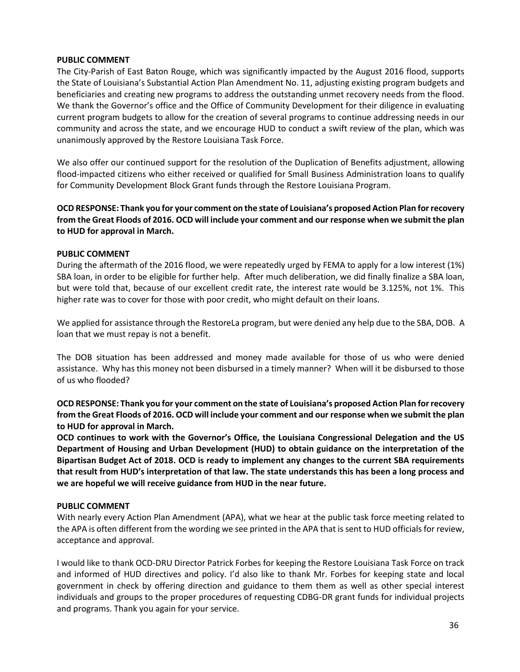#### **PUBLIC COMMENT**

The City-Parish of East Baton Rouge, which was significantly impacted by the August 2016 flood, supports the State of Louisiana's Substantial Action Plan Amendment No. 11, adjusting existing program budgets and beneficiaries and creating new programs to address the outstanding unmet recovery needs from the flood. We thank the Governor's office and the Office of Community Development for their diligence in evaluating current program budgets to allow for the creation of several programs to continue addressing needs in our community and across the state, and we encourage HUD to conduct a swift review of the plan, which was unanimously approved by the Restore Louisiana Task Force.

We also offer our continued support for the resolution of the Duplication of Benefits adjustment, allowing flood-impacted citizens who either received or qualified for Small Business Administration loans to qualify for Community Development Block Grant funds through the Restore Louisiana Program.

**OCD RESPONSE: Thank you for your comment on the state of Louisiana's proposed Action Plan for recovery from the Great Floods of 2016. OCD will include your comment and our response when we submit the plan to HUD for approval in March.** 

#### **PUBLIC COMMENT**

During the aftermath of the 2016 flood, we were repeatedly urged by FEMA to apply for a low interest (1%) SBA loan, in order to be eligible for further help. After much deliberation, we did finally finalize a SBA loan, but were told that, because of our excellent credit rate, the interest rate would be 3.125%, not 1%. This higher rate was to cover for those with poor credit, who might default on their loans.

We applied for assistance through the RestoreLa program, but were denied any help due to the SBA, DOB. A loan that we must repay is not a benefit.

The DOB situation has been addressed and money made available for those of us who were denied assistance. Why has this money not been disbursed in a timely manner? When will it be disbursed to those of us who flooded?

**OCD RESPONSE: Thank you for your comment on the state of Louisiana's proposed Action Plan for recovery from the Great Floods of 2016. OCD will include your comment and our response when we submit the plan to HUD for approval in March.** 

**OCD continues to work with the Governor's Office, the Louisiana Congressional Delegation and the US Department of Housing and Urban Development (HUD) to obtain guidance on the interpretation of the Bipartisan Budget Act of 2018. OCD is ready to implement any changes to the current SBA requirements that result from HUD's interpretation of that law. The state understands this has been a long process and we are hopeful we will receive guidance from HUD in the near future.** 

#### **PUBLIC COMMENT**

With nearly every Action Plan Amendment (APA), what we hear at the public task force meeting related to the APA is often different from the wording we see printed in the APA that is sent to HUD officials for review, acceptance and approval.

I would like to thank OCD-DRU Director Patrick Forbes for keeping the Restore Louisiana Task Force on track and informed of HUD directives and policy. I'd also like to thank Mr. Forbes for keeping state and local government in check by offering direction and guidance to them them as well as other special interest individuals and groups to the proper procedures of requesting CDBG-DR grant funds for individual projects and programs. Thank you again for your service.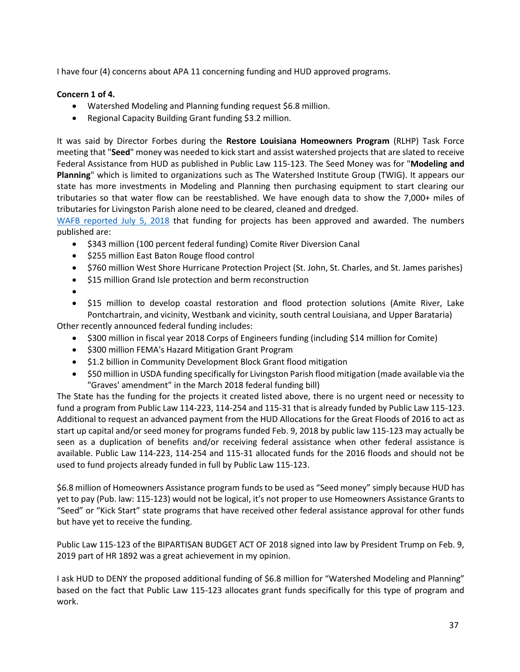I have four (4) concerns about APA 11 concerning funding and HUD approved programs.

#### **Concern 1 of 4.**

- Watershed Modeling and Planning funding request \$6.8 million.
- Regional Capacity Building Grant funding \$3.2 million.

It was said by Director Forbes during the **Restore Louisiana Homeowners Program** (RLHP) Task Force meeting that "**Seed**" money was needed to kick start and assist watershed projects that are slated to receive Federal Assistance from HUD as published in Public Law 115-123. The Seed Money was for "**Modeling and Planning**" which is limited to organizations such as The Watershed Institute Group (TWIG). It appears our state has more investments in Modeling and Planning then purchasing equipment to start clearing our tributaries so that water flow can be reestablished. We have enough data to show the 7,000+ miles of tributaries for Livingston Parish alone need to be cleared, cleaned and dredged.

[WAFB reported July 5, 2018](http://www.wafb.com/story/38581062/after-30-years-comite-diversion-canal-project-now-fully-funded/) that funding for projects has been approved and awarded. The numbers published are:

- \$343 million (100 percent federal funding) Comite River Diversion Canal
- \$255 million East Baton Rouge flood control
- \$760 million West Shore Hurricane Protection Project (St. John, St. Charles, and St. James parishes)
- \$15 million Grand Isle protection and berm reconstruction
- $\bullet$
- \$15 million to develop coastal restoration and flood protection solutions (Amite River, Lake Pontchartrain, and vicinity, Westbank and vicinity, south central Louisiana, and Upper Barataria)

Other recently announced federal funding includes:

- \$300 million in fiscal year 2018 Corps of Engineers funding (including \$14 million for Comite)
- \$300 million FEMA's Hazard Mitigation Grant Program
- \$1.2 billion in Community Development Block Grant flood mitigation
- \$50 million in USDA funding specifically for Livingston Parish flood mitigation (made available via the "Graves' amendment" in the March 2018 federal funding bill)

The State has the funding for the projects it created listed above, there is no urgent need or necessity to fund a program from Public Law 114-223, 114-254 and 115-31 that is already funded by Public Law 115-123. Additional to request an advanced payment from the HUD Allocations for the Great Floods of 2016 to act as start up capital and/or seed money for programs funded Feb. 9, 2018 by public law 115-123 may actually be seen as a duplication of benefits and/or receiving federal assistance when other federal assistance is available. Public Law 114-223, 114-254 and 115-31 allocated funds for the 2016 floods and should not be used to fund projects already funded in full by Public Law 115-123.

\$6.8 million of Homeowners Assistance program funds to be used as "Seed money" simply because HUD has yet to pay (Pub. law: 115-123) would not be logical, it's not proper to use Homeowners Assistance Grants to "Seed" or "Kick Start" state programs that have received other federal assistance approval for other funds but have yet to receive the funding.

Public Law 115-123 of the BIPARTISAN BUDGET ACT OF 2018 signed into law by President Trump on Feb. 9, 2019 part of HR 1892 was a great achievement in my opinion.

I ask HUD to DENY the proposed additional funding of \$6.8 million for "Watershed Modeling and Planning" based on the fact that Public Law 115-123 allocates grant funds specifically for this type of program and work.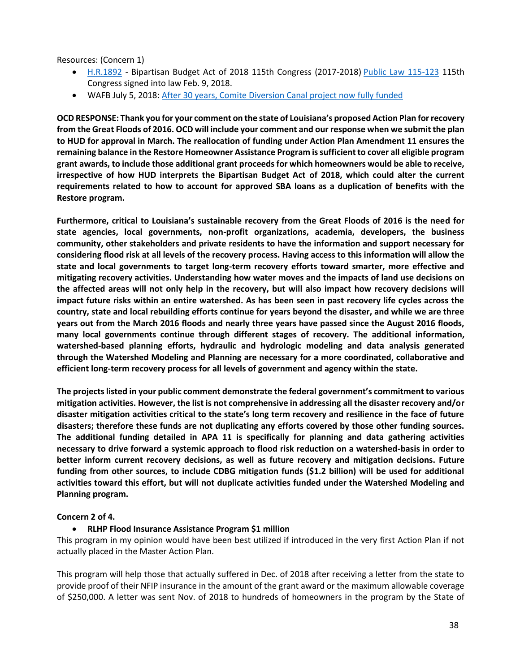Resources: (Concern 1)

- [H.R.1892](https://www.congress.gov/bill/115th-congress/house-bill/1892) Bipartisan Budget Act of 2018 115th Congress (2017-2018) [Public Law 115-123](https://www.congress.gov/bill/115th-congress/house-bill/1892) 115th Congress signed into law Feb. 9, 2018.
- WAFB July 5, 2018: [After 30 years, Comite Diversion Canal project now fully funded](http://www.wafb.com/story/38581062/after-30-years-comite-diversion-canal-project-now-fully-funded/)

**OCD RESPONSE: Thank you for your comment on the state of Louisiana's proposed Action Plan for recovery from the Great Floods of 2016. OCD will include your comment and our response when we submit the plan to HUD for approval in March. The reallocation of funding under Action Plan Amendment 11 ensures the remaining balance in the Restore Homeowner Assistance Program is sufficient to cover all eligible program grant awards, to include those additional grant proceeds for which homeowners would be able to receive, irrespective of how HUD interprets the Bipartisan Budget Act of 2018, which could alter the current requirements related to how to account for approved SBA loans as a duplication of benefits with the Restore program.** 

**Furthermore, critical to Louisiana's sustainable recovery from the Great Floods of 2016 is the need for state agencies, local governments, non-profit organizations, academia, developers, the business community, other stakeholders and private residents to have the information and support necessary for considering flood risk at all levels of the recovery process. Having access to this information will allow the state and local governments to target long-term recovery efforts toward smarter, more effective and mitigating recovery activities. Understanding how water moves and the impacts of land use decisions on the affected areas will not only help in the recovery, but will also impact how recovery decisions will impact future risks within an entire watershed. As has been seen in past recovery life cycles across the country, state and local rebuilding efforts continue for years beyond the disaster, and while we are three years out from the March 2016 floods and nearly three years have passed since the August 2016 floods, many local governments continue through different stages of recovery. The additional information, watershed-based planning efforts, hydraulic and hydrologic modeling and data analysis generated through the Watershed Modeling and Planning are necessary for a more coordinated, collaborative and efficient long-term recovery process for all levels of government and agency within the state.** 

**The projects listed in your public comment demonstrate the federal government's commitment to various mitigation activities. However, the list is not comprehensive in addressing all the disaster recovery and/or disaster mitigation activities critical to the state's long term recovery and resilience in the face of future disasters; therefore these funds are not duplicating any efforts covered by those other funding sources. The additional funding detailed in APA 11 is specifically for planning and data gathering activities necessary to drive forward a systemic approach to flood risk reduction on a watershed-basis in order to better inform current recovery decisions, as well as future recovery and mitigation decisions. Future funding from other sources, to include CDBG mitigation funds (\$1.2 billion) will be used for additional activities toward this effort, but will not duplicate activities funded under the Watershed Modeling and Planning program.** 

#### **Concern 2 of 4.**

#### **RLHP Flood Insurance Assistance Program \$1 million**

This program in my opinion would have been best utilized if introduced in the very first Action Plan if not actually placed in the Master Action Plan.

This program will help those that actually suffered in Dec. of 2018 after receiving a letter from the state to provide proof of their NFIP insurance in the amount of the grant award or the maximum allowable coverage of \$250,000. A letter was sent Nov. of 2018 to hundreds of homeowners in the program by the State of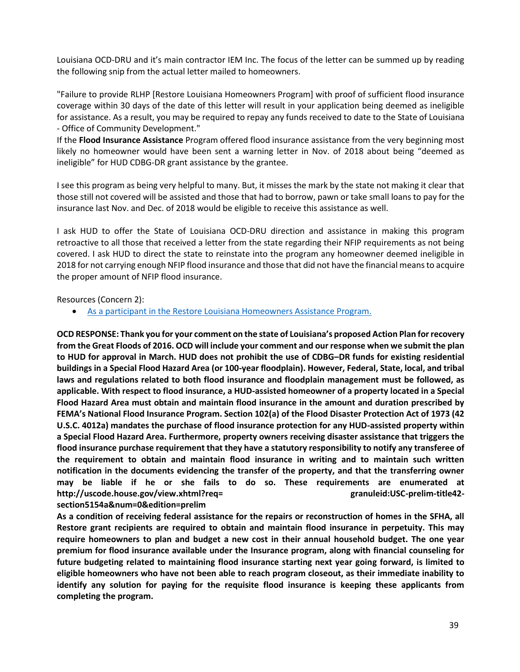Louisiana OCD-DRU and it's main contractor IEM Inc. The focus of the letter can be summed up by reading the following snip from the actual letter mailed to homeowners.

"Failure to provide RLHP [Restore Louisiana Homeowners Program] with proof of sufficient flood insurance coverage within 30 days of the date of this letter will result in your application being deemed as ineligible for assistance. As a result, you may be required to repay any funds received to date to the State of Louisiana - Office of Community Development."

If the **Flood Insurance Assistance** Program offered flood insurance assistance from the very beginning most likely no homeowner would have been sent a warning letter in Nov. of 2018 about being "deemed as ineligible" for HUD CDBG-DR grant assistance by the grantee.

I see this program as being very helpful to many. But, it misses the mark by the state not making it clear that those still not covered will be assisted and those that had to borrow, pawn or take small loans to pay for the insurance last Nov. and Dec. of 2018 would be eligible to receive this assistance as well.

I ask HUD to offer the State of Louisiana OCD-DRU direction and assistance in making this program retroactive to all those that received a letter from the state regarding their NFIP requirements as not being covered. I ask HUD to direct the state to reinstate into the program any homeowner deemed ineligible in 2018 for not carrying enough NFIP flood insurance and those that did not have the financial means to acquire the proper amount of NFIP flood insurance.

Resources (Concern 2):

[As a participant in the Restore Louisiana Homeowners Assistance Program.](https://www.truckandtools.com/disaster/ocd_dru.asp?gdyk=175)

**OCD RESPONSE: Thank you for your comment on the state of Louisiana's proposed Action Plan for recovery from the Great Floods of 2016. OCD will include your comment and our response when we submit the plan to HUD for approval in March. HUD does not prohibit the use of CDBG–DR funds for existing residential buildings in a Special Flood Hazard Area (or 100-year floodplain). However, Federal, State, local, and tribal laws and regulations related to both flood insurance and floodplain management must be followed, as applicable. With respect to flood insurance, a HUD-assisted homeowner of a property located in a Special Flood Hazard Area must obtain and maintain flood insurance in the amount and duration prescribed by FEMA's National Flood Insurance Program. Section 102(a) of the Flood Disaster Protection Act of 1973 (42 U.S.C. 4012a) mandates the purchase of flood insurance protection for any HUD-assisted property within a Special Flood Hazard Area. Furthermore, property owners receiving disaster assistance that triggers the flood insurance purchase requirement that they have a statutory responsibility to notify any transferee of the requirement to obtain and maintain flood insurance in writing and to maintain such written notification in the documents evidencing the transfer of the property, and that the transferring owner may be liable if he or she fails to do so. These requirements are enumerated at http://uscode.house.gov/view.xhtml?req= granuleid:USC-prelim-title42 section5154a&num=0&edition=prelim** 

**As a condition of receiving federal assistance for the repairs or reconstruction of homes in the SFHA, all Restore grant recipients are required to obtain and maintain flood insurance in perpetuity. This may require homeowners to plan and budget a new cost in their annual household budget. The one year premium for flood insurance available under the Insurance program, along with financial counseling for future budgeting related to maintaining flood insurance starting next year going forward, is limited to eligible homeowners who have not been able to reach program closeout, as their immediate inability to identify any solution for paying for the requisite flood insurance is keeping these applicants from completing the program.**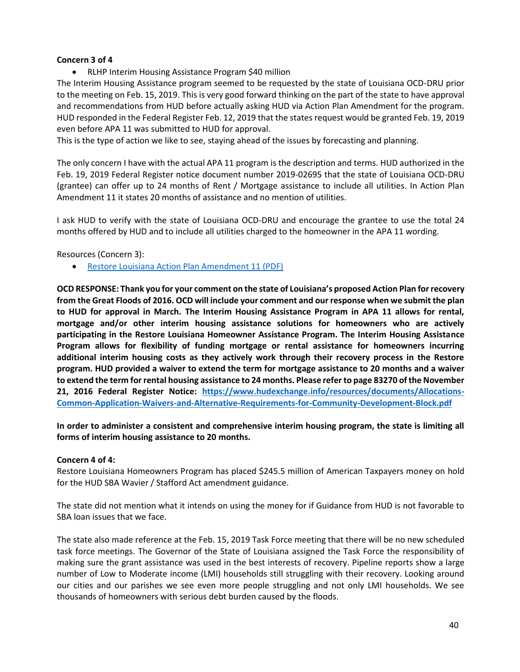#### **Concern 3 of 4**

RLHP Interim Housing Assistance Program \$40 million

The Interim Housing Assistance program seemed to be requested by the state of Louisiana OCD-DRU prior to the meeting on Feb. 15, 2019. This is very good forward thinking on the part of the state to have approval and recommendations from HUD before actually asking HUD via Action Plan Amendment for the program. HUD responded in the Federal Register Feb. 12, 2019 that the states request would be granted Feb. 19, 2019 even before APA 11 was submitted to HUD for approval.

This is the type of action we like to see, staying ahead of the issues by forecasting and planning.

The only concern I have with the actual APA 11 program is the description and terms. HUD authorized in the Feb. 19, 2019 Federal Register notice document number 2019-02695 that the state of Louisiana OCD-DRU (grantee) can offer up to 24 months of Rent / Mortgage assistance to include all utilities. In Action Plan Amendment 11 it states 20 months of assistance and no mention of utilities.

I ask HUD to verify with the state of Louisiana OCD-DRU and encourage the grantee to use the total 24 months offered by HUD and to include all utilities charged to the homeowner in the APA 11 wording.

Resources (Concern 3):

[Restore Louisiana Action Plan Amendment 11 \(PDF\)](https://www.doa.la.gov/OCDDRU/Action%20Plan%20Amendments/Great_Floods_2016/2016%20Floods%20Action%20Plan%20Amendment%2011_27Feb2019_ENGLISH_FINAL_v2.pdf)

**OCD RESPONSE: Thank you for your comment on the state of Louisiana's proposed Action Plan for recovery from the Great Floods of 2016. OCD will include your comment and our response when we submit the plan to HUD for approval in March. The Interim Housing Assistance Program in APA 11 allows for rental, mortgage and/or other interim housing assistance solutions for homeowners who are actively participating in the Restore Louisiana Homeowner Assistance Program. The Interim Housing Assistance Program allows for flexibility of funding mortgage or rental assistance for homeowners incurring additional interim housing costs as they actively work through their recovery process in the Restore program. HUD provided a waiver to extend the term for mortgage assistance to 20 months and a waiver to extend the term for rental housing assistance to 24 months. Please refer to page 83270 of the November 21, 2016 Federal Register Notice: [https://www.hudexchange.info/resources/documents/Allocations-](https://www.hudexchange.info/resources/documents/Allocations-Common-Application-Waivers-and-Alternative-Requirements-for-Community-Development-Block.pdf)[Common-Application-Waivers-and-Alternative-Requirements-for-Community-Development-Block.pdf](https://www.hudexchange.info/resources/documents/Allocations-Common-Application-Waivers-and-Alternative-Requirements-for-Community-Development-Block.pdf)**

**In order to administer a consistent and comprehensive interim housing program, the state is limiting all forms of interim housing assistance to 20 months.**

#### **Concern 4 of 4:**

Restore Louisiana Homeowners Program has placed \$245.5 million of American Taxpayers money on hold for the HUD SBA Wavier / Stafford Act amendment guidance.

The state did not mention what it intends on using the money for if Guidance from HUD is not favorable to SBA loan issues that we face.

The state also made reference at the Feb. 15, 2019 Task Force meeting that there will be no new scheduled task force meetings. The Governor of the State of Louisiana assigned the Task Force the responsibility of making sure the grant assistance was used in the best interests of recovery. Pipeline reports show a large number of Low to Moderate income (LMI) households still struggling with their recovery. Looking around our cities and our parishes we see even more people struggling and not only LMI households. We see thousands of homeowners with serious debt burden caused by the floods.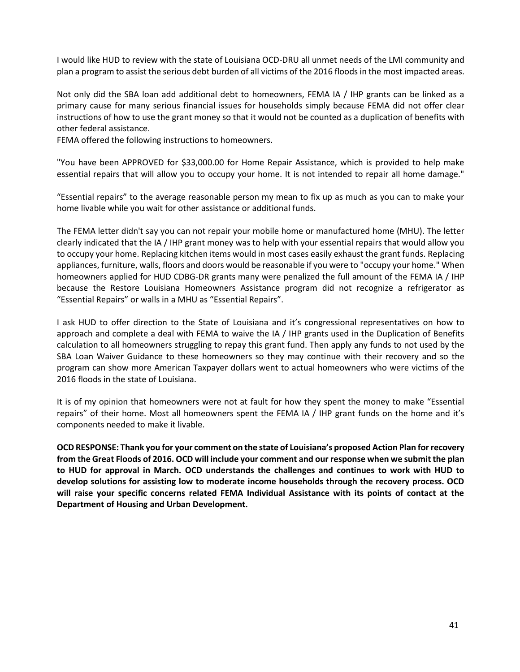I would like HUD to review with the state of Louisiana OCD-DRU all unmet needs of the LMI community and plan a program to assist the serious debt burden of all victims of the 2016 floods in the most impacted areas.

Not only did the SBA loan add additional debt to homeowners, FEMA IA / IHP grants can be linked as a primary cause for many serious financial issues for households simply because FEMA did not offer clear instructions of how to use the grant money so that it would not be counted as a duplication of benefits with other federal assistance.

FEMA offered the following instructions to homeowners.

"You have been APPROVED for \$33,000.00 for Home Repair Assistance, which is provided to help make essential repairs that will allow you to occupy your home. It is not intended to repair all home damage."

"Essential repairs" to the average reasonable person my mean to fix up as much as you can to make your home livable while you wait for other assistance or additional funds.

The FEMA letter didn't say you can not repair your mobile home or manufactured home (MHU). The letter clearly indicated that the IA / IHP grant money was to help with your essential repairs that would allow you to occupy your home. Replacing kitchen items would in most cases easily exhaust the grant funds. Replacing appliances, furniture, walls, floors and doors would be reasonable if you were to "occupy your home." When homeowners applied for HUD CDBG-DR grants many were penalized the full amount of the FEMA IA / IHP because the Restore Louisiana Homeowners Assistance program did not recognize a refrigerator as "Essential Repairs" or walls in a MHU as "Essential Repairs".

I ask HUD to offer direction to the State of Louisiana and it's congressional representatives on how to approach and complete a deal with FEMA to waive the IA / IHP grants used in the Duplication of Benefits calculation to all homeowners struggling to repay this grant fund. Then apply any funds to not used by the SBA Loan Waiver Guidance to these homeowners so they may continue with their recovery and so the program can show more American Taxpayer dollars went to actual homeowners who were victims of the 2016 floods in the state of Louisiana.

It is of my opinion that homeowners were not at fault for how they spent the money to make "Essential repairs" of their home. Most all homeowners spent the FEMA IA / IHP grant funds on the home and it's components needed to make it livable.

**OCD RESPONSE: Thank you for your comment on the state of Louisiana's proposed Action Plan for recovery from the Great Floods of 2016. OCD will include your comment and our response when we submit the plan to HUD for approval in March. OCD understands the challenges and continues to work with HUD to develop solutions for assisting low to moderate income households through the recovery process. OCD will raise your specific concerns related FEMA Individual Assistance with its points of contact at the Department of Housing and Urban Development.**